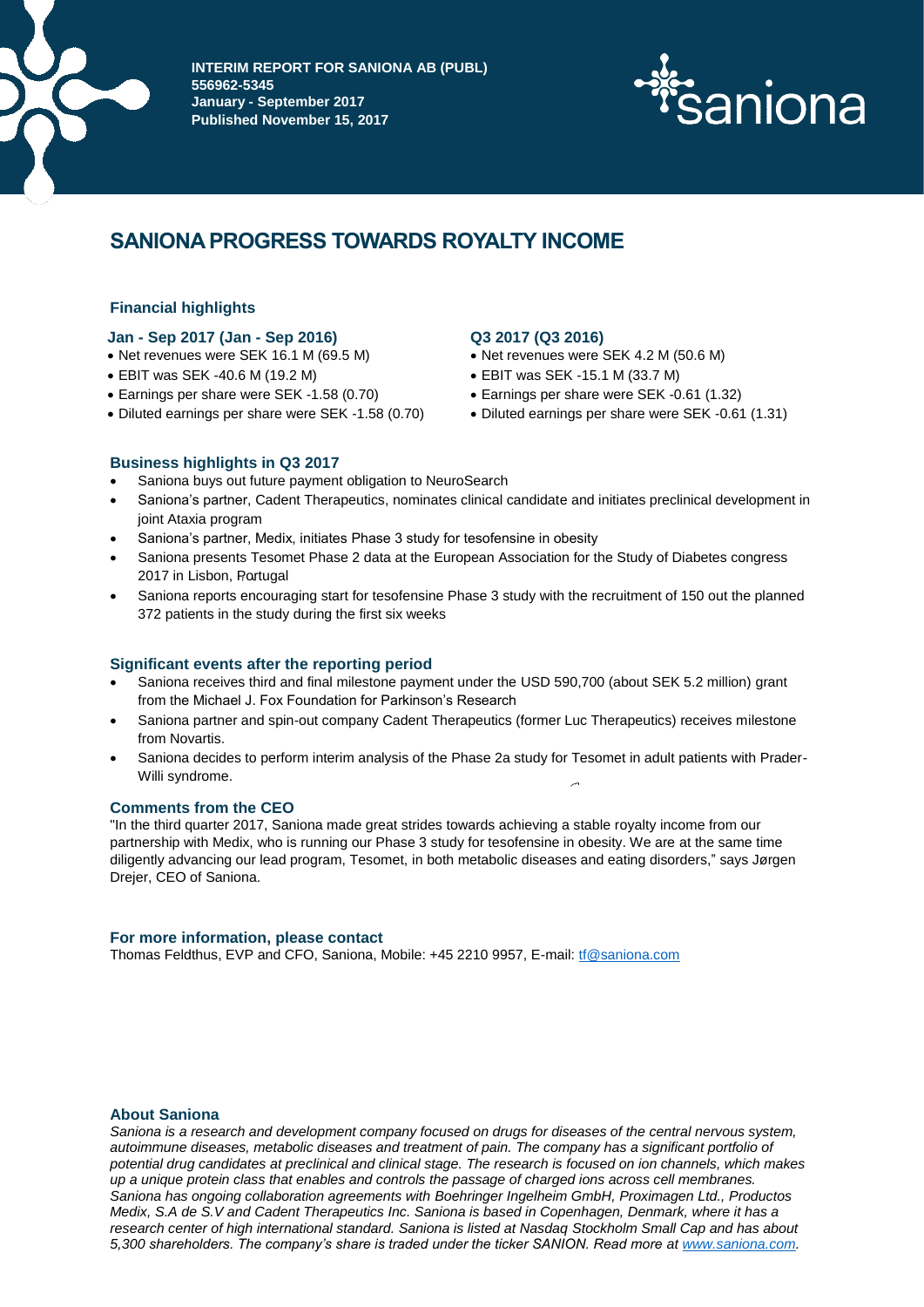

**INTERIM REPORT FOR SANIONA AB (PUBL) 556962-5345 January - September 2017 Published November 15, 2017**



# **SANIONA PROGRESS TOWARDS ROYALTY INCOME**

# **Financial highlights**

# **Jan - Sep 2017 (Jan - Sep 2016) Q3 2017 (Q3 2016)**

- Net revenues were SEK 16.1 M (69.5 M) Net revenues were SEK 4.2 M (50.6 M)
- EBIT was SEK -40.6 M (19.2 M) EBIT was SEK -15.1 M (33.7 M)
- Earnings per share were SEK -1.58 (0.70) Earnings per share were SEK -0.61 (1.32)
- 

- 
- 
- 
- Diluted earnings per share were SEK -1.58 (0.70) Diluted earnings per share were SEK -0.61 (1.31)

# **Business highlights in Q3 2017**

- Saniona buys out future payment obligation to NeuroSearch
- Saniona's partner, Cadent Therapeutics, nominates clinical candidate and initiates preclinical development in joint Ataxia program
- Saniona's partner, Medix, initiates Phase 3 study for tesofensine in obesity
- Saniona presents Tesomet Phase 2 data at the European Association for the Study of Diabetes congress 2017 in Lisbon, Portugal
- Saniona reports encouraging start for tesofensine Phase 3 study with the recruitment of 150 out the planned 372 patients in the study during the first six weeks

# **Significant events after the reporting period**

- Saniona receives third and final milestone payment under the USD 590,700 (about SEK 5.2 million) grant from the Michael J. Fox Foundation for Parkinson's Research
- Saniona partner and spin-out company Cadent Therapeutics (former Luc Therapeutics) receives milestone from Novartis.
- Saniona decides to perform interim analysis of the Phase 2a study for Tesomet in adult patients with Prader-Willi syndrome.

# **Comments from the CEO**

"In the third quarter 2017, Saniona made great strides towards achieving a stable royalty income from our partnership with Medix, who is running our Phase 3 study for tesofensine in obesity. We are at the same time diligently advancing our lead program, Tesomet, in both metabolic diseases and eating disorders," says Jørgen Drejer, CEO of Saniona.

# **For more information, please contact**

Thomas Feldthus, EVP and CFO, Saniona, Mobile: +45 2210 9957, E-mail: [tf@saniona.com](mailto:tf@saniona.com)

# **About Saniona**

*Saniona is a research and development company focused on drugs for diseases of the central nervous system, autoimmune diseases, metabolic diseases and treatment of pain. The company has a significant portfolio of potential drug candidates at preclinical and clinical stage. The research is focused on ion channels, which makes up a unique protein class that enables and controls the passage of charged ions across cell membranes. Saniona has ongoing collaboration agreements with Boehringer Ingelheim GmbH, Proximagen Ltd., Productos Medix, S.A de S.V and Cadent Therapeutics Inc. Saniona is based in Copenhagen, Denmark, where it has a research center of high international standard. Saniona is listed at Nasdaq Stockholm Small Cap and has about 5,300 shareholders. The company's share is traded under the ticker SANION. Read more a[t www.saniona.com.](http://www.saniona.com/)*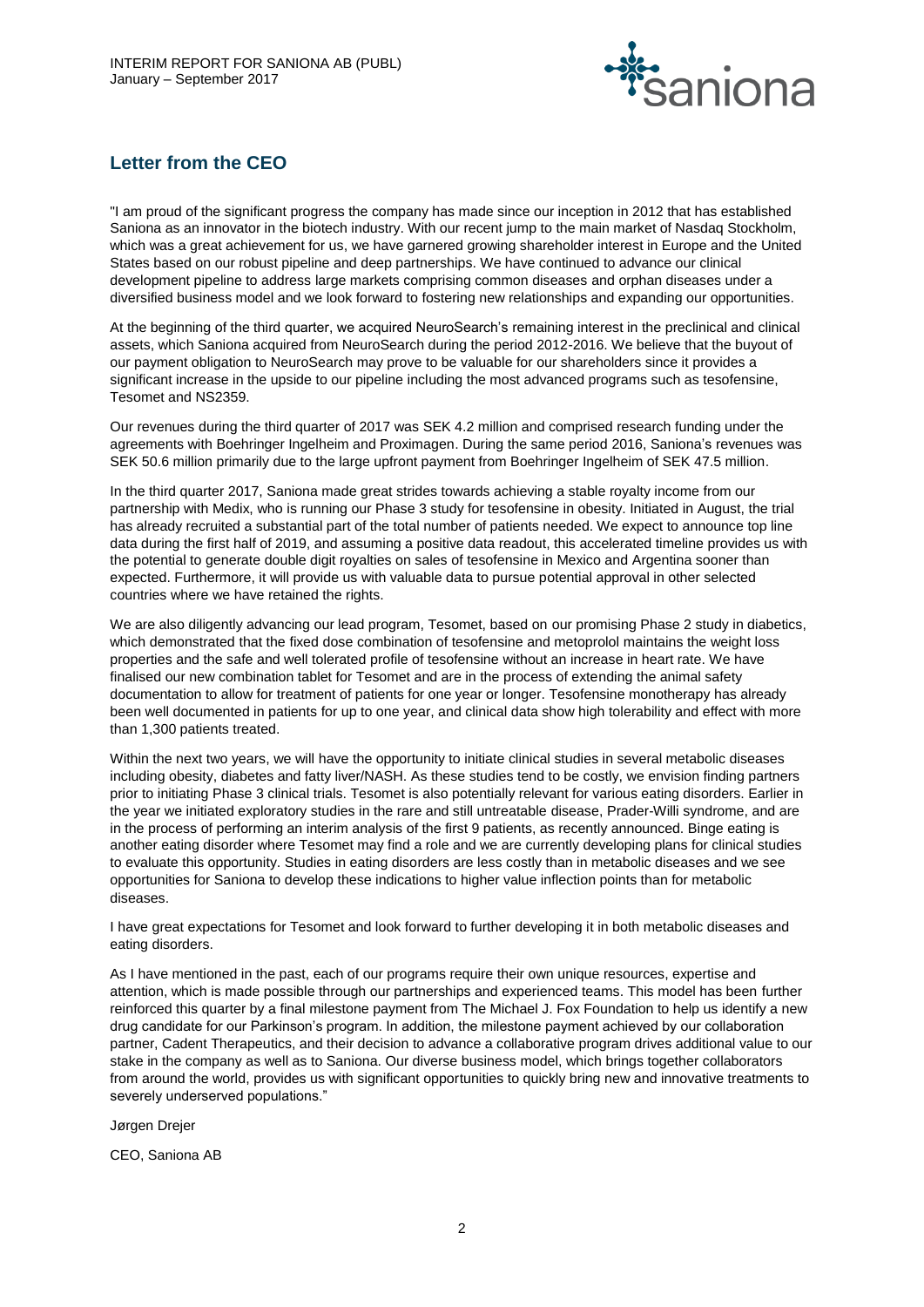

# **Letter from the CEO**

"I am proud of the significant progress the company has made since our inception in 2012 that has established Saniona as an innovator in the biotech industry. With our recent jump to the main market of Nasdaq Stockholm, which was a great achievement for us, we have garnered growing shareholder interest in Europe and the United States based on our robust pipeline and deep partnerships. We have continued to advance our clinical development pipeline to address large markets comprising common diseases and orphan diseases under a diversified business model and we look forward to fostering new relationships and expanding our opportunities.

At the beginning of the third quarter, we acquired NeuroSearch's remaining interest in the preclinical and clinical assets, which Saniona acquired from NeuroSearch during the period 2012-2016. We believe that the buyout of our payment obligation to NeuroSearch may prove to be valuable for our shareholders since it provides a significant increase in the upside to our pipeline including the most advanced programs such as tesofensine, Tesomet and NS2359.

Our revenues during the third quarter of 2017 was SEK 4.2 million and comprised research funding under the agreements with Boehringer Ingelheim and Proximagen. During the same period 2016, Saniona's revenues was SEK 50.6 million primarily due to the large upfront payment from Boehringer Ingelheim of SEK 47.5 million.

In the third quarter 2017, Saniona made great strides towards achieving a stable royalty income from our partnership with Medix, who is running our Phase 3 study for tesofensine in obesity. Initiated in August, the trial has already recruited a substantial part of the total number of patients needed. We expect to announce top line data during the first half of 2019, and assuming a positive data readout, this accelerated timeline provides us with the potential to generate double digit royalties on sales of tesofensine in Mexico and Argentina sooner than expected. Furthermore, it will provide us with valuable data to pursue potential approval in other selected countries where we have retained the rights.

We are also diligently advancing our lead program, Tesomet, based on our promising Phase 2 study in diabetics, which demonstrated that the fixed dose combination of tesofensine and metoprolol maintains the weight loss properties and the safe and well tolerated profile of tesofensine without an increase in heart rate. We have finalised our new combination tablet for Tesomet and are in the process of extending the animal safety documentation to allow for treatment of patients for one year or longer. Tesofensine monotherapy has already been well documented in patients for up to one year, and clinical data show high tolerability and effect with more than 1,300 patients treated.

Within the next two years, we will have the opportunity to initiate clinical studies in several metabolic diseases including obesity, diabetes and fatty liver/NASH. As these studies tend to be costly, we envision finding partners prior to initiating Phase 3 clinical trials. Tesomet is also potentially relevant for various eating disorders. Earlier in the year we initiated exploratory studies in the rare and still untreatable disease, Prader-Willi syndrome, and are in the process of performing an interim analysis of the first 9 patients, as recently announced. Binge eating is another eating disorder where Tesomet may find a role and we are currently developing plans for clinical studies to evaluate this opportunity. Studies in eating disorders are less costly than in metabolic diseases and we see opportunities for Saniona to develop these indications to higher value inflection points than for metabolic diseases.

I have great expectations for Tesomet and look forward to further developing it in both metabolic diseases and eating disorders.

As I have mentioned in the past, each of our programs require their own unique resources, expertise and attention, which is made possible through our partnerships and experienced teams. This model has been further reinforced this quarter by a final milestone payment from The Michael J. Fox Foundation to help us identify a new drug candidate for our Parkinson's program. In addition, the milestone payment achieved by our collaboration partner, Cadent Therapeutics, and their decision to advance a collaborative program drives additional value to our stake in the company as well as to Saniona. Our diverse business model, which brings together collaborators from around the world, provides us with significant opportunities to quickly bring new and innovative treatments to severely underserved populations."

Jørgen Drejer

CEO, Saniona AB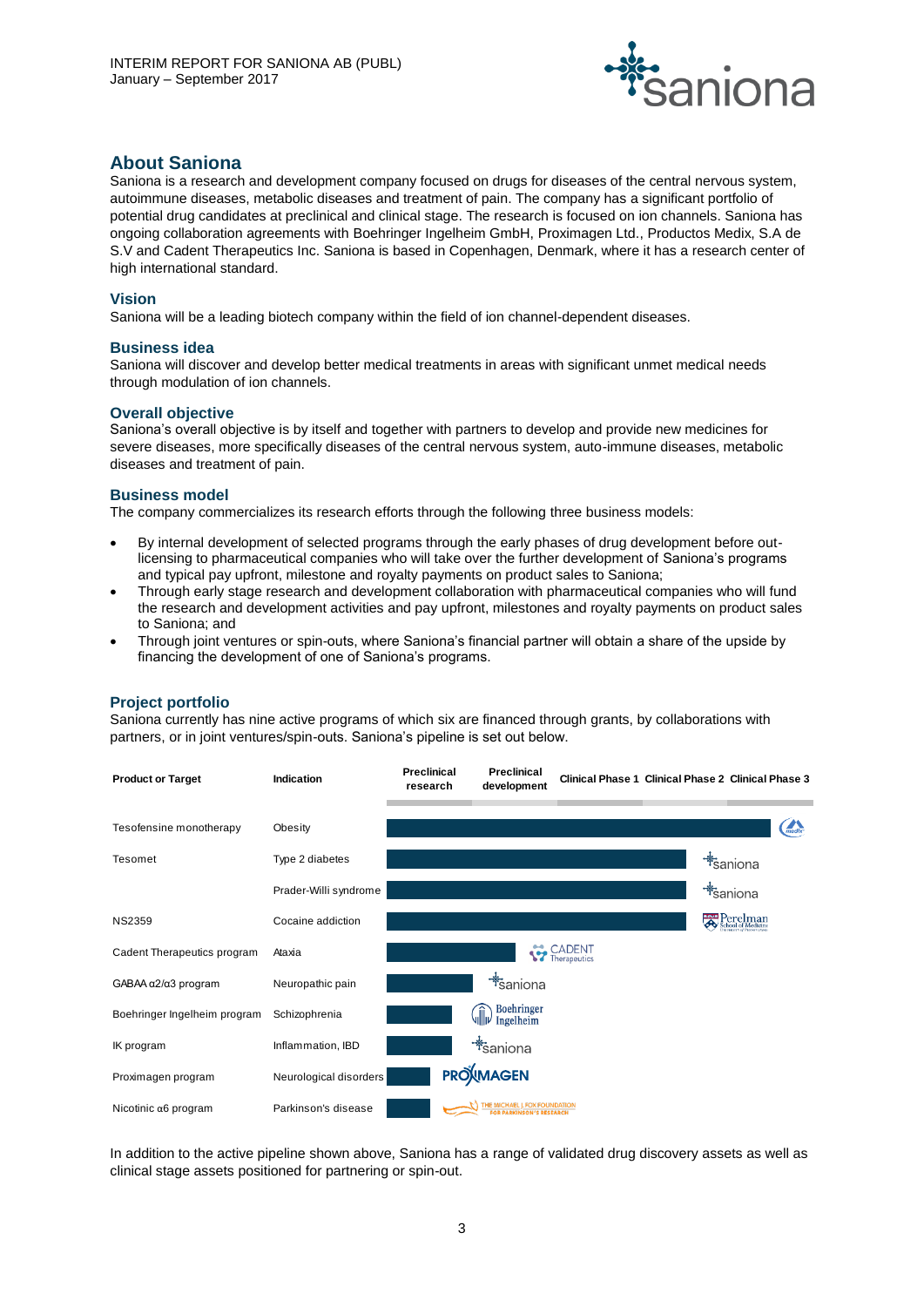

# **About Saniona**

Saniona is a research and development company focused on drugs for diseases of the central nervous system, autoimmune diseases, metabolic diseases and treatment of pain. The company has a significant portfolio of potential drug candidates at preclinical and clinical stage. The research is focused on ion channels. Saniona has ongoing collaboration agreements with Boehringer Ingelheim GmbH, Proximagen Ltd., Productos Medix, S.A de S.V and Cadent Therapeutics Inc. Saniona is based in Copenhagen, Denmark, where it has a research center of high international standard.

# **Vision**

Saniona will be a leading biotech company within the field of ion channel-dependent diseases.

#### **Business idea**

Saniona will discover and develop better medical treatments in areas with significant unmet medical needs through modulation of ion channels.

#### **Overall objective**

Saniona's overall objective is by itself and together with partners to develop and provide new medicines for severe diseases, more specifically diseases of the central nervous system, auto-immune diseases, metabolic diseases and treatment of pain.

#### **Business model**

The company commercializes its research efforts through the following three business models:

- By internal development of selected programs through the early phases of drug development before outlicensing to pharmaceutical companies who will take over the further development of Saniona's programs and typical pay upfront, milestone and royalty payments on product sales to Saniona;
- Through early stage research and development collaboration with pharmaceutical companies who will fund the research and development activities and pay upfront, milestones and royalty payments on product sales to Saniona; and
- Through joint ventures or spin-outs, where Saniona's financial partner will obtain a share of the upside by financing the development of one of Saniona's programs.

# **Project portfolio**

Saniona currently has nine active programs of which six are financed through grants, by collaborations with partners, or in joint ventures/spin-outs. Saniona's pipeline is set out below.



In addition to the active pipeline shown above, Saniona has a range of validated drug discovery assets as well as clinical stage assets positioned for partnering or spin-out.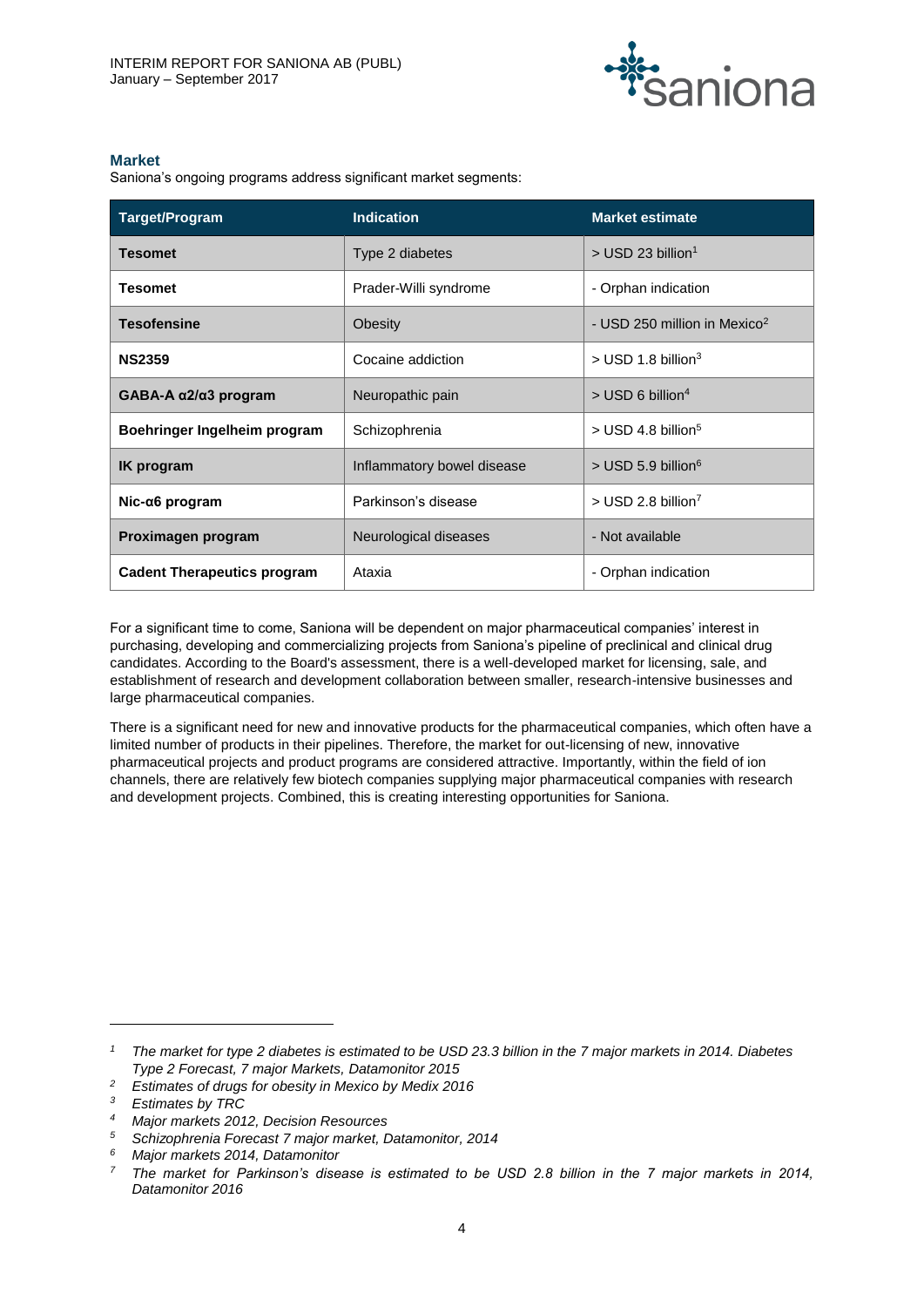

# **Market**

Saniona's ongoing programs address significant market segments:

| Target/Program                        | <b>Indication</b>          | <b>Market estimate</b>                   |
|---------------------------------------|----------------------------|------------------------------------------|
| <b>Tesomet</b>                        | Type 2 diabetes            | $>$ USD 23 billion <sup>1</sup>          |
| <b>Tesomet</b>                        | Prader-Willi syndrome      | - Orphan indication                      |
| <b>Tesofensine</b>                    | Obesity                    | - USD 250 million in Mexico <sup>2</sup> |
| <b>NS2359</b>                         | Cocaine addiction          | $>$ USD 1.8 billion <sup>3</sup>         |
| GABA-A $\alpha$ 2/ $\alpha$ 3 program | Neuropathic pain           | $>$ USD 6 billion <sup>4</sup>           |
| Boehringer Ingelheim program          | Schizophrenia              | $>$ USD 4.8 billion <sup>5</sup>         |
| <b>IK</b> program                     | Inflammatory bowel disease | $>$ USD 5.9 billion <sup>6</sup>         |
| $Nic-a6$ program                      | Parkinson's disease        | $>$ USD 2.8 billion <sup>7</sup>         |
| Proximagen program                    | Neurological diseases      | - Not available                          |
| <b>Cadent Therapeutics program</b>    | Ataxia                     | - Orphan indication                      |

For a significant time to come, Saniona will be dependent on major pharmaceutical companies' interest in purchasing, developing and commercializing projects from Saniona's pipeline of preclinical and clinical drug candidates. According to the Board's assessment, there is a well-developed market for licensing, sale, and establishment of research and development collaboration between smaller, research-intensive businesses and large pharmaceutical companies.

There is a significant need for new and innovative products for the pharmaceutical companies, which often have a limited number of products in their pipelines. Therefore, the market for out-licensing of new, innovative pharmaceutical projects and product programs are considered attractive. Importantly, within the field of ion channels, there are relatively few biotech companies supplying major pharmaceutical companies with research and development projects. Combined, this is creating interesting opportunities for Saniona.

 $\overline{a}$ 

*<sup>1</sup> The market for type 2 diabetes is estimated to be USD 23.3 billion in the 7 major markets in 2014. Diabetes Type 2 Forecast, 7 major Markets, Datamonitor 2015*

*<sup>2</sup> Estimates of drugs for obesity in Mexico by Medix 2016*

*<sup>3</sup> Estimates by TRC*

*<sup>4</sup> Major markets 2012, Decision Resources*

*<sup>5</sup> Schizophrenia Forecast 7 major market, Datamonitor, 2014*

*<sup>6</sup> Major markets 2014, Datamonitor*

*<sup>7</sup> The market for Parkinson's disease is estimated to be USD 2.8 billion in the 7 major markets in 2014, Datamonitor 2016*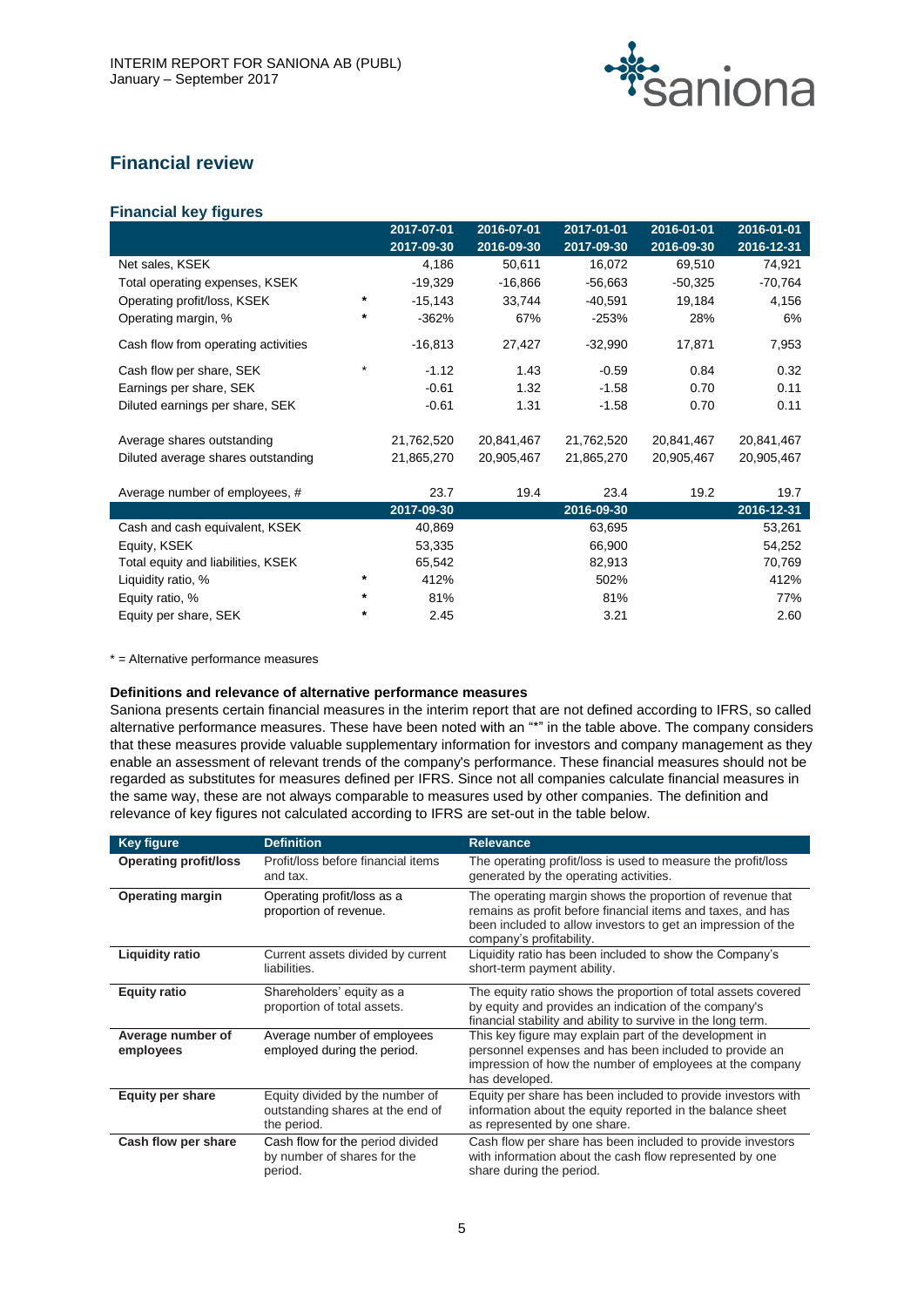

# **Financial review**

# **Financial key figures**

|                                     |          | 2017-07-01 | 2016-07-01 | 2017-01-01 | 2016-01-01 | 2016-01-01 |
|-------------------------------------|----------|------------|------------|------------|------------|------------|
|                                     |          | 2017-09-30 | 2016-09-30 | 2017-09-30 | 2016-09-30 | 2016-12-31 |
| Net sales, KSEK                     |          | 4,186      | 50,611     | 16,072     | 69,510     | 74,921     |
| Total operating expenses, KSEK      |          | $-19,329$  | $-16,866$  | $-56,663$  | $-50,325$  | $-70,764$  |
| Operating profit/loss, KSEK         | *        | $-15,143$  | 33,744     | $-40,591$  | 19,184     | 4,156      |
| Operating margin, %                 | $^\star$ | $-362%$    | 67%        | $-253%$    | 28%        | 6%         |
| Cash flow from operating activities |          | $-16,813$  | 27,427     | $-32,990$  | 17,871     | 7,953      |
| Cash flow per share, SEK            | $\star$  | $-1.12$    | 1.43       | $-0.59$    | 0.84       | 0.32       |
| Earnings per share, SEK             |          | $-0.61$    | 1.32       | $-1.58$    | 0.70       | 0.11       |
| Diluted earnings per share, SEK     |          | $-0.61$    | 1.31       | $-1.58$    | 0.70       | 0.11       |
| Average shares outstanding          |          | 21,762,520 | 20,841,467 | 21,762,520 | 20,841,467 | 20,841,467 |
| Diluted average shares outstanding  |          | 21,865,270 | 20,905,467 | 21,865,270 | 20,905,467 | 20,905,467 |
| Average number of employees, #      |          | 23.7       | 19.4       | 23.4       | 19.2       | 19.7       |
|                                     |          | 2017-09-30 |            | 2016-09-30 |            | 2016-12-31 |
| Cash and cash equivalent, KSEK      |          | 40,869     |            | 63,695     |            | 53,261     |
| Equity, KSEK                        |          | 53,335     |            | 66,900     |            | 54,252     |
| Total equity and liabilities, KSEK  |          | 65,542     |            | 82,913     |            | 70,769     |
| Liquidity ratio, %                  | $^\star$ | 412%       |            | 502%       |            | 412%       |
| Equity ratio, %                     | $\ast$   | 81%        |            | 81%        |            | 77%        |
| Equity per share, SEK               | *        | 2.45       |            | 3.21       |            | 2.60       |

\* = Alternative performance measures

# **Definitions and relevance of alternative performance measures**

Saniona presents certain financial measures in the interim report that are not defined according to IFRS, so called alternative performance measures. These have been noted with an "\*" in the table above. The company considers that these measures provide valuable supplementary information for investors and company management as they enable an assessment of relevant trends of the company's performance. These financial measures should not be regarded as substitutes for measures defined per IFRS. Since not all companies calculate financial measures in the same way, these are not always comparable to measures used by other companies. The definition and relevance of key figures not calculated according to IFRS are set-out in the table below.

| <b>Key figure</b>              | <b>Definition</b>                                                                  | <b>Relevance</b>                                                                                                                                                                                                     |
|--------------------------------|------------------------------------------------------------------------------------|----------------------------------------------------------------------------------------------------------------------------------------------------------------------------------------------------------------------|
| <b>Operating profit/loss</b>   | Profit/loss before financial items<br>and tax.                                     | The operating profit/loss is used to measure the profit/loss<br>generated by the operating activities.                                                                                                               |
| <b>Operating margin</b>        | Operating profit/loss as a<br>proportion of revenue.                               | The operating margin shows the proportion of revenue that<br>remains as profit before financial items and taxes, and has<br>been included to allow investors to get an impression of the<br>company's profitability. |
| <b>Liquidity ratio</b>         | Current assets divided by current<br>liabilities.                                  | Liquidity ratio has been included to show the Company's<br>short-term payment ability.                                                                                                                               |
| <b>Equity ratio</b>            | Shareholders' equity as a<br>proportion of total assets.                           | The equity ratio shows the proportion of total assets covered<br>by equity and provides an indication of the company's<br>financial stability and ability to survive in the long term.                               |
| Average number of<br>employees | Average number of employees<br>employed during the period.                         | This key figure may explain part of the development in<br>personnel expenses and has been included to provide an<br>impression of how the number of employees at the company<br>has developed.                       |
| <b>Equity per share</b>        | Equity divided by the number of<br>outstanding shares at the end of<br>the period. | Equity per share has been included to provide investors with<br>information about the equity reported in the balance sheet<br>as represented by one share.                                                           |
| Cash flow per share            | Cash flow for the period divided<br>by number of shares for the<br>period.         | Cash flow per share has been included to provide investors<br>with information about the cash flow represented by one<br>share during the period.                                                                    |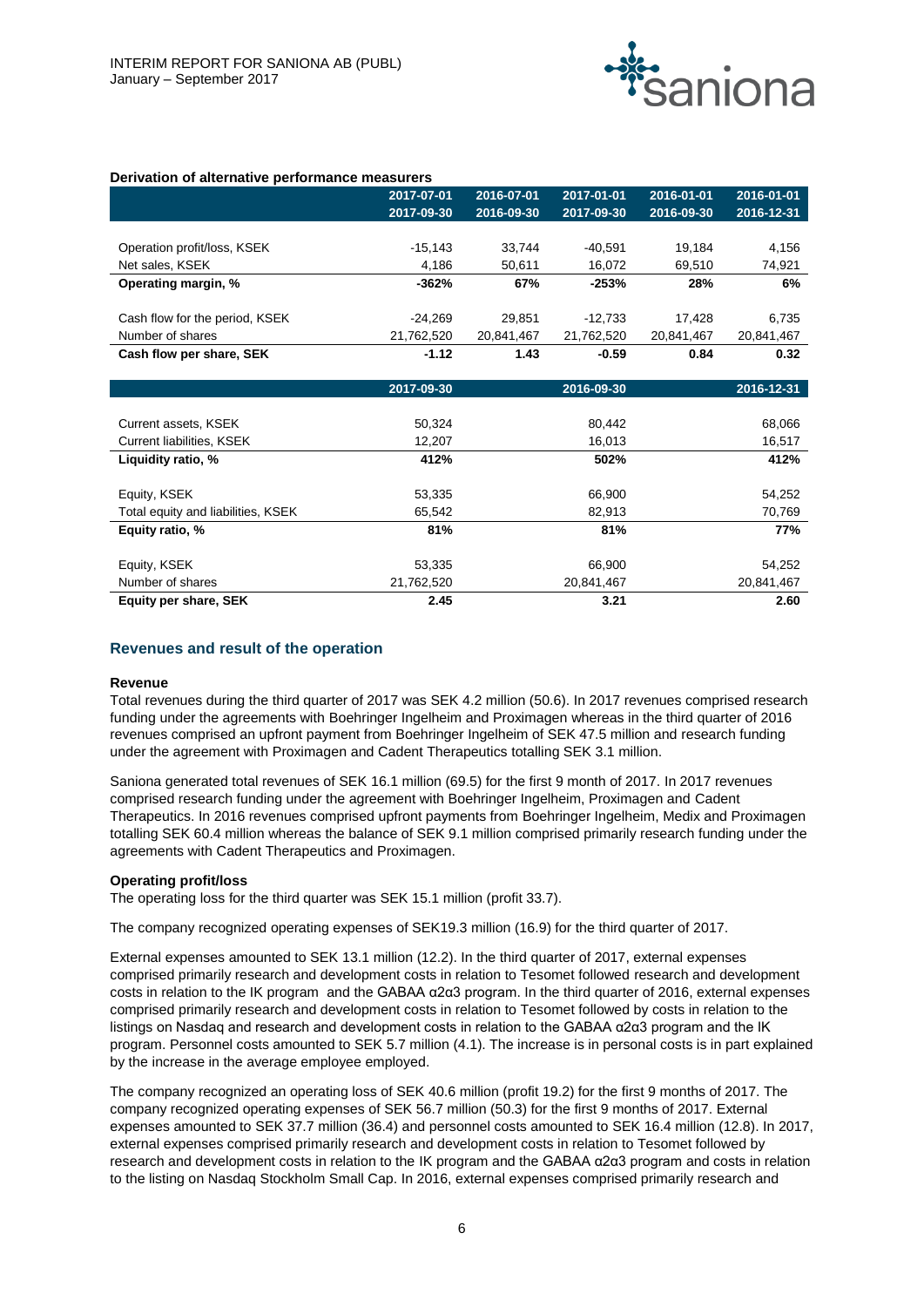

#### **Derivation of alternative performance measurers**

|                                | 2017-07-01 | 2016-07-01 | 2017-01-01 | 2016-01-01 | 2016-01-01 |
|--------------------------------|------------|------------|------------|------------|------------|
|                                | 2017-09-30 | 2016-09-30 | 2017-09-30 | 2016-09-30 | 2016-12-31 |
|                                |            |            |            |            |            |
| Operation profit/loss, KSEK    | $-15,143$  | 33.744     | $-40.591$  | 19,184     | 4,156      |
| Net sales, KSEK                | 4,186      | 50.611     | 16,072     | 69,510     | 74,921     |
| Operating margin, %            | $-362%$    | 67%        | $-253%$    | 28%        | 6%         |
|                                |            |            |            |            |            |
| Cash flow for the period, KSEK | $-24,269$  | 29.851     | $-12.733$  | 17.428     | 6,735      |
| Number of shares               | 21,762,520 | 20,841,467 | 21,762,520 | 20,841,467 | 20,841,467 |
| Cash flow per share, SEK       | $-1.12$    | 1.43       | $-0.59$    | 0.84       | 0.32       |
|                                |            |            |            |            |            |
|                                | 2017-09-30 |            | 2016-09-30 |            | 2016-12-31 |
|                                |            |            |            |            |            |
| Current assets, KSEK           | 50,324     |            | 80,442     |            | 68,066     |
| Current liabilities, KSEK      | 12,207     |            | 16,013     |            | 16,517     |

| Liquidity ratio, %                 | 412%       | 502%       | 412%       |
|------------------------------------|------------|------------|------------|
|                                    |            |            |            |
| Equity, KSEK                       | 53,335     | 66,900     | 54,252     |
| Total equity and liabilities, KSEK | 65,542     | 82,913     | 70,769     |
| Equity ratio, %                    | 81%        | 81%        | 77%        |
| Equity, KSEK                       | 53,335     | 66.900     | 54,252     |
|                                    |            |            |            |
| Number of shares                   | 21,762,520 | 20,841,467 | 20,841,467 |
| Equity per share, SEK              | 2.45       | 3.21       | 2.60       |

#### **Revenues and result of the operation**

#### **Revenue**

Total revenues during the third quarter of 2017 was SEK 4.2 million (50.6). In 2017 revenues comprised research funding under the agreements with Boehringer Ingelheim and Proximagen whereas in the third quarter of 2016 revenues comprised an upfront payment from Boehringer Ingelheim of SEK 47.5 million and research funding under the agreement with Proximagen and Cadent Therapeutics totalling SEK 3.1 million.

Saniona generated total revenues of SEK 16.1 million (69.5) for the first 9 month of 2017. In 2017 revenues comprised research funding under the agreement with Boehringer Ingelheim, Proximagen and Cadent Therapeutics. In 2016 revenues comprised upfront payments from Boehringer Ingelheim, Medix and Proximagen totalling SEK 60.4 million whereas the balance of SEK 9.1 million comprised primarily research funding under the agreements with Cadent Therapeutics and Proximagen.

#### **Operating profit/loss**

The operating loss for the third quarter was SEK 15.1 million (profit 33.7).

The company recognized operating expenses of SEK19.3 million (16.9) for the third quarter of 2017.

External expenses amounted to SEK 13.1 million (12.2). In the third quarter of 2017, external expenses comprised primarily research and development costs in relation to Tesomet followed research and development costs in relation to the IK program and the GABAA α2α3 program. In the third quarter of 2016, external expenses comprised primarily research and development costs in relation to Tesomet followed by costs in relation to the listings on Nasdaq and research and development costs in relation to the GABAA α2α3 program and the IK program. Personnel costs amounted to SEK 5.7 million (4.1). The increase is in personal costs is in part explained by the increase in the average employee employed.

The company recognized an operating loss of SEK 40.6 million (profit 19.2) for the first 9 months of 2017. The company recognized operating expenses of SEK 56.7 million (50.3) for the first 9 months of 2017. External expenses amounted to SEK 37.7 million (36.4) and personnel costs amounted to SEK 16.4 million (12.8). In 2017, external expenses comprised primarily research and development costs in relation to Tesomet followed by research and development costs in relation to the IK program and the GABAA α2α3 program and costs in relation to the listing on Nasdaq Stockholm Small Cap. In 2016, external expenses comprised primarily research and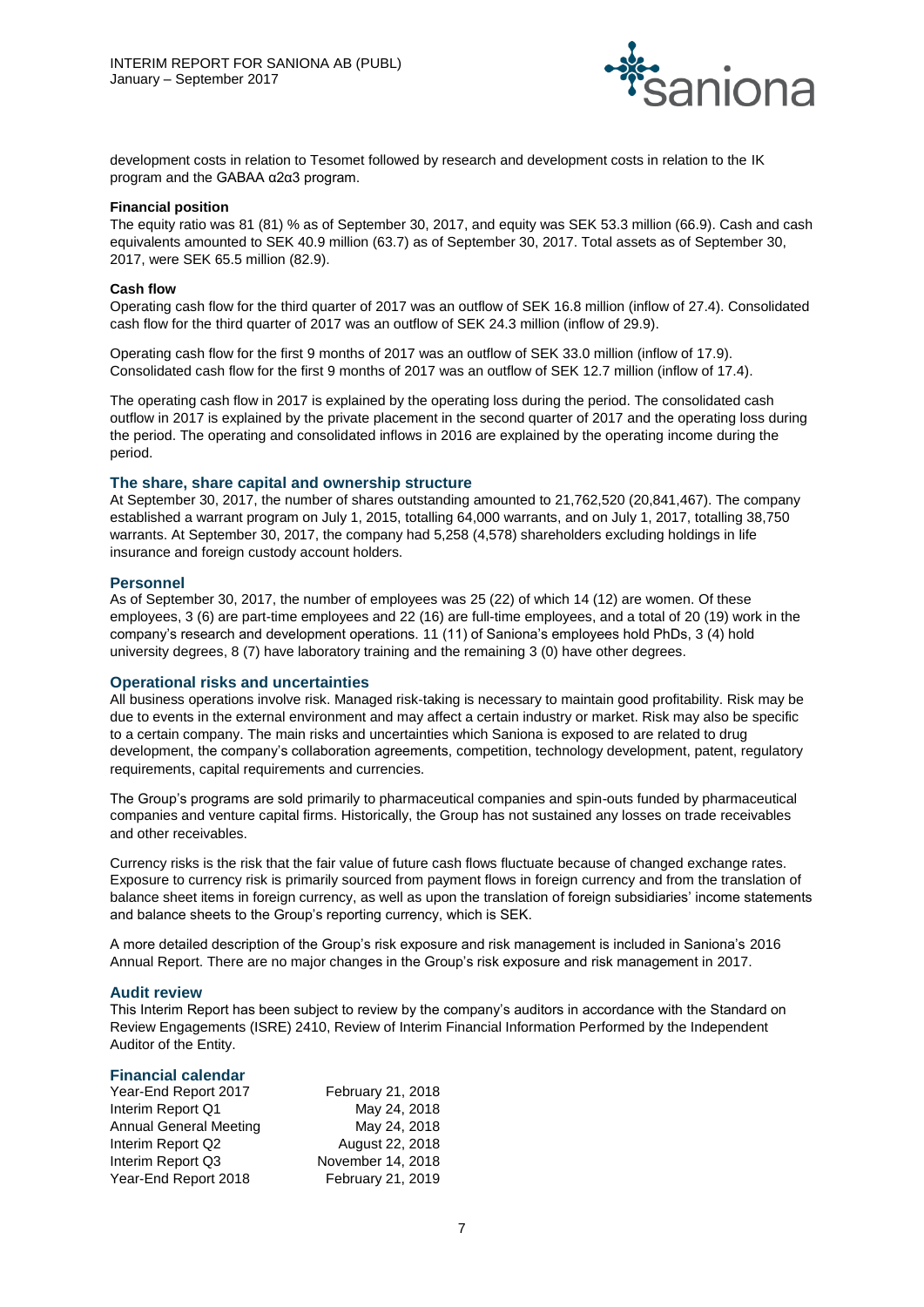

development costs in relation to Tesomet followed by research and development costs in relation to the IK program and the GABAA α2α3 program.

#### **Financial position**

The equity ratio was 81 (81) % as of September 30, 2017, and equity was SEK 53.3 million (66.9). Cash and cash equivalents amounted to SEK 40.9 million (63.7) as of September 30, 2017. Total assets as of September 30, 2017, were SEK 65.5 million (82.9).

#### **Cash flow**

Operating cash flow for the third quarter of 2017 was an outflow of SEK 16.8 million (inflow of 27.4). Consolidated cash flow for the third quarter of 2017 was an outflow of SEK 24.3 million (inflow of 29.9).

Operating cash flow for the first 9 months of 2017 was an outflow of SEK 33.0 million (inflow of 17.9). Consolidated cash flow for the first 9 months of 2017 was an outflow of SEK 12.7 million (inflow of 17.4).

The operating cash flow in 2017 is explained by the operating loss during the period. The consolidated cash outflow in 2017 is explained by the private placement in the second quarter of 2017 and the operating loss during the period. The operating and consolidated inflows in 2016 are explained by the operating income during the period.

#### **The share, share capital and ownership structure**

At September 30, 2017, the number of shares outstanding amounted to 21,762,520 (20,841,467). The company established a warrant program on July 1, 2015, totalling 64,000 warrants, and on July 1, 2017, totalling 38,750 warrants. At September 30, 2017, the company had 5,258 (4,578) shareholders excluding holdings in life insurance and foreign custody account holders.

#### **Personnel**

As of September 30, 2017, the number of employees was 25 (22) of which 14 (12) are women. Of these employees, 3 (6) are part-time employees and 22 (16) are full-time employees, and a total of 20 (19) work in the company's research and development operations. 11 (11) of Saniona's employees hold PhDs, 3 (4) hold university degrees, 8 (7) have laboratory training and the remaining 3 (0) have other degrees.

#### **Operational risks and uncertainties**

All business operations involve risk. Managed risk-taking is necessary to maintain good profitability. Risk may be due to events in the external environment and may affect a certain industry or market. Risk may also be specific to a certain company. The main risks and uncertainties which Saniona is exposed to are related to drug development, the company's collaboration agreements, competition, technology development, patent, regulatory requirements, capital requirements and currencies.

The Group's programs are sold primarily to pharmaceutical companies and spin-outs funded by pharmaceutical companies and venture capital firms. Historically, the Group has not sustained any losses on trade receivables and other receivables.

Currency risks is the risk that the fair value of future cash flows fluctuate because of changed exchange rates. Exposure to currency risk is primarily sourced from payment flows in foreign currency and from the translation of balance sheet items in foreign currency, as well as upon the translation of foreign subsidiaries' income statements and balance sheets to the Group's reporting currency, which is SEK.

A more detailed description of the Group's risk exposure and risk management is included in Saniona's 2016 Annual Report. There are no major changes in the Group's risk exposure and risk management in 2017.

#### **Audit review**

This Interim Report has been subject to review by the company's auditors in accordance with the Standard on Review Engagements (ISRE) 2410, Review of Interim Financial Information Performed by the Independent Auditor of the Entity.

#### **Financial calendar**

| Year-End Report 2017          | February 21, 2018 |
|-------------------------------|-------------------|
| Interim Report Q1             | May 24, 2018      |
| <b>Annual General Meeting</b> | May 24, 2018      |
| Interim Report Q2             | August 22, 2018   |
| Interim Report Q3             | November 14, 2018 |
| Year-End Report 2018          | February 21, 2019 |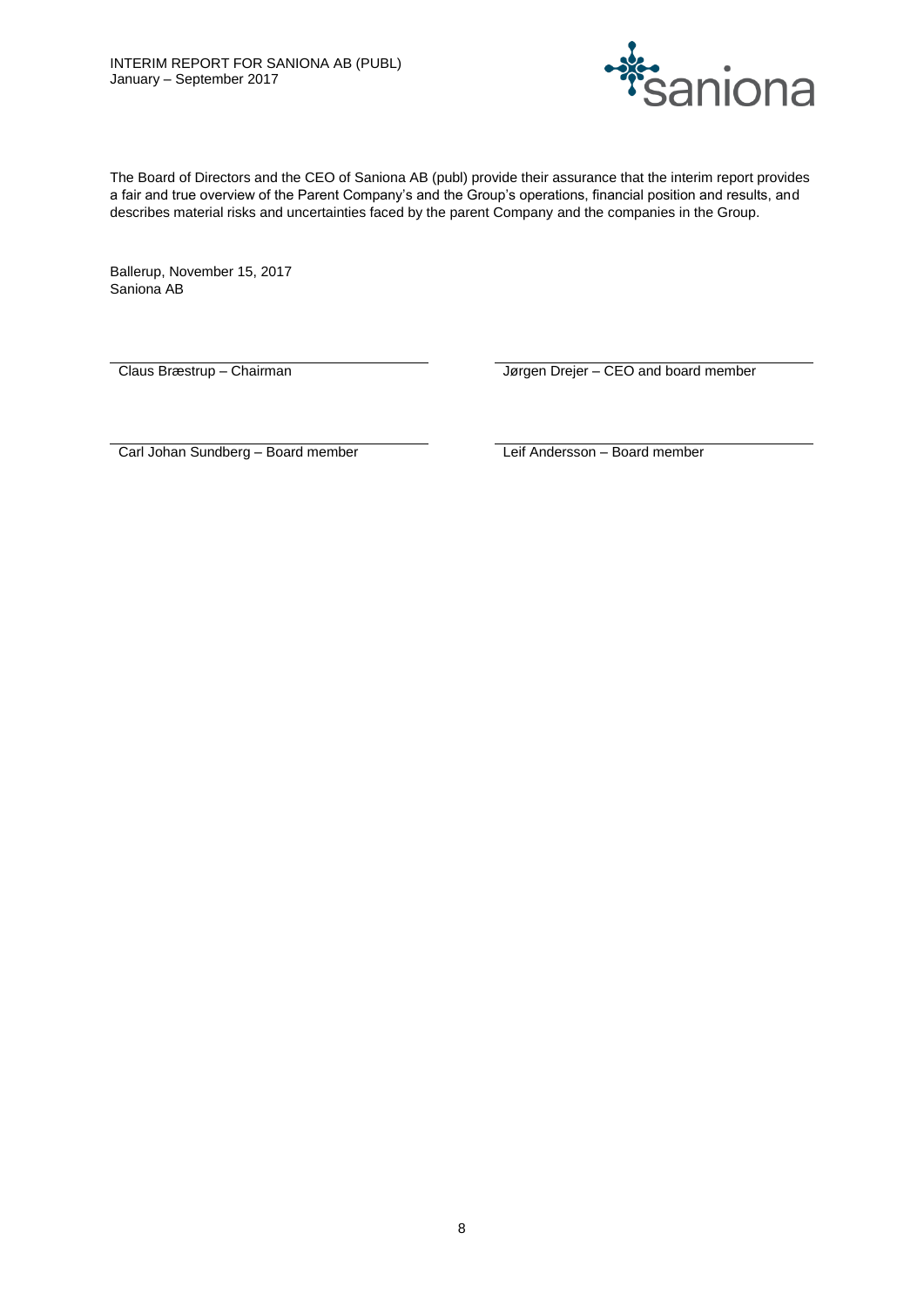

The Board of Directors and the CEO of Saniona AB (publ) provide their assurance that the interim report provides a fair and true overview of the Parent Company's and the Group's operations, financial position and results, and describes material risks and uncertainties faced by the parent Company and the companies in the Group.

Ballerup, November 15, 2017 Saniona AB

Claus Bræstrup – Chairman **III Elder and State Library Claus Bræstrup** – Chairman Jørgen Drejer – CEO and board member

Carl Johan Sundberg – Board member Leif Andersson – Board member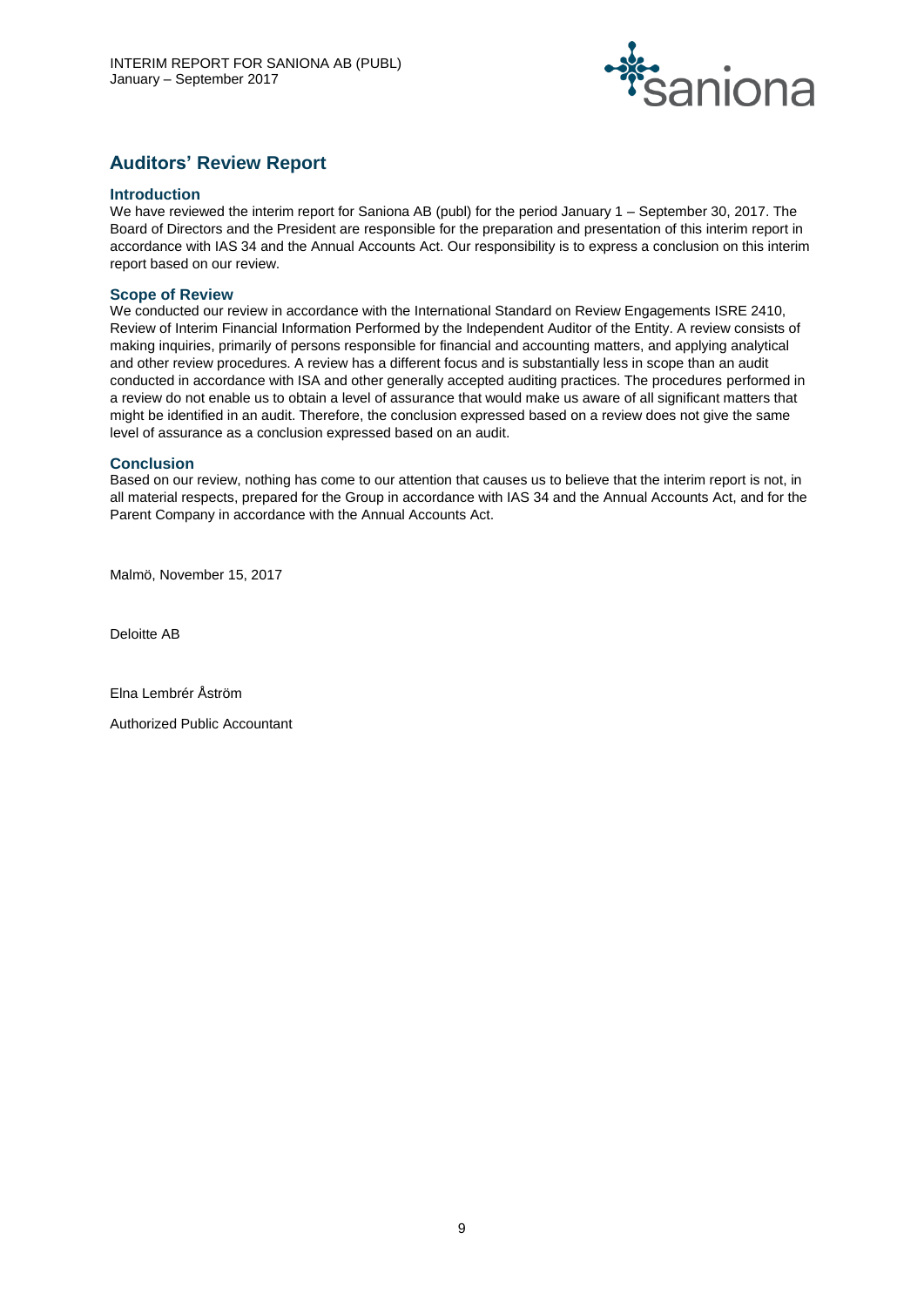

# **Auditors' Review Report**

#### **Introduction**

We have reviewed the interim report for Saniona AB (publ) for the period January 1 – September 30, 2017. The Board of Directors and the President are responsible for the preparation and presentation of this interim report in accordance with IAS 34 and the Annual Accounts Act. Our responsibility is to express a conclusion on this interim report based on our review.

### **Scope of Review**

We conducted our review in accordance with the International Standard on Review Engagements ISRE 2410, Review of Interim Financial Information Performed by the Independent Auditor of the Entity. A review consists of making inquiries, primarily of persons responsible for financial and accounting matters, and applying analytical and other review procedures. A review has a different focus and is substantially less in scope than an audit conducted in accordance with ISA and other generally accepted auditing practices. The procedures performed in a review do not enable us to obtain a level of assurance that would make us aware of all significant matters that might be identified in an audit. Therefore, the conclusion expressed based on a review does not give the same level of assurance as a conclusion expressed based on an audit.

#### **Conclusion**

Based on our review, nothing has come to our attention that causes us to believe that the interim report is not, in all material respects, prepared for the Group in accordance with IAS 34 and the Annual Accounts Act, and for the Parent Company in accordance with the Annual Accounts Act.

Malmö, November 15, 2017

Deloitte AB

Elna Lembrér Åström

Authorized Public Accountant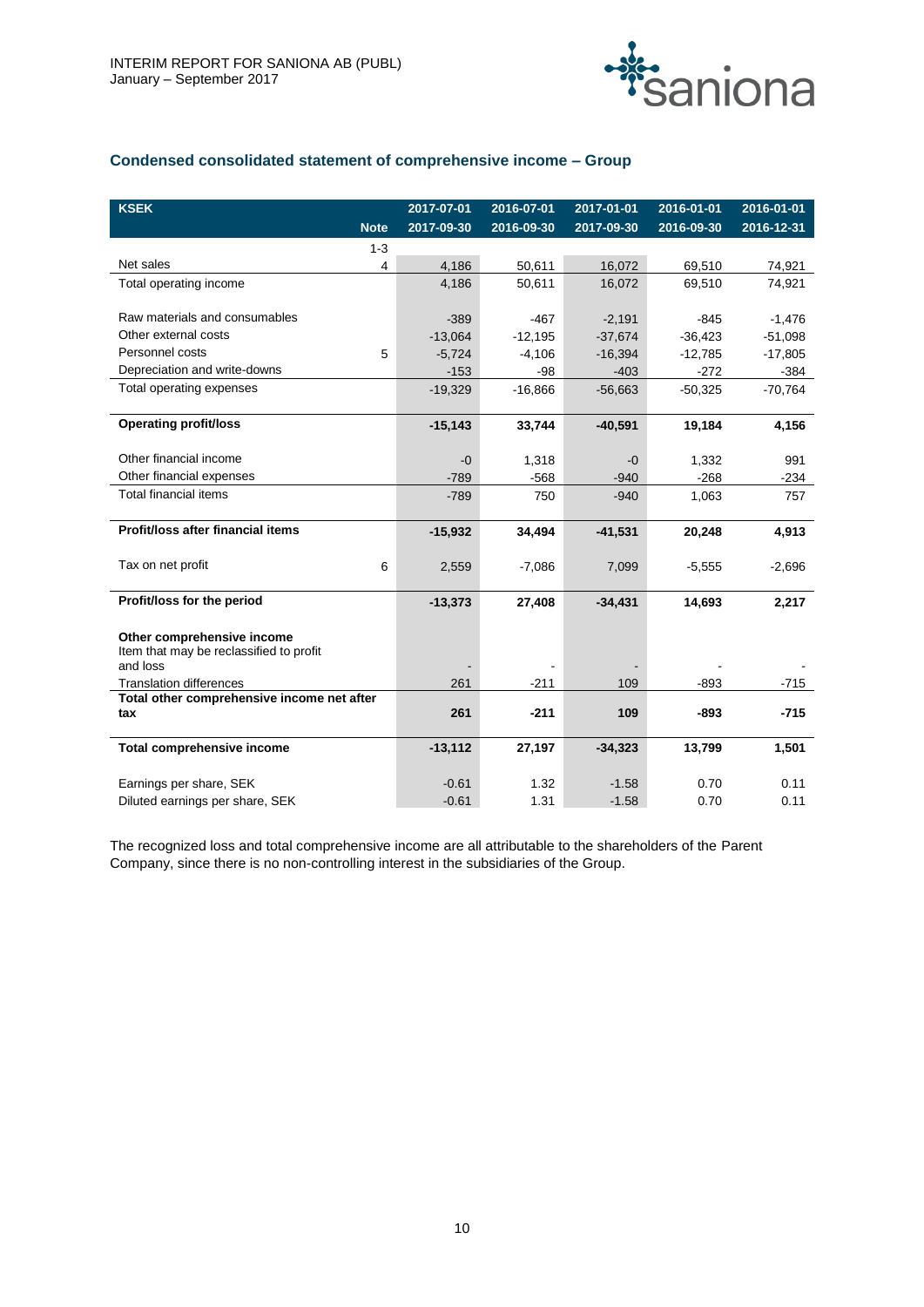

# **Condensed consolidated statement of comprehensive income – Group**

| <b>KSEK</b>                                |             | 2017-07-01 | 2016-07-01 | 2017-01-01 | 2016-01-01 | 2016-01-01 |
|--------------------------------------------|-------------|------------|------------|------------|------------|------------|
|                                            | <b>Note</b> | 2017-09-30 | 2016-09-30 | 2017-09-30 | 2016-09-30 | 2016-12-31 |
|                                            | $1 - 3$     |            |            |            |            |            |
| Net sales                                  | 4           | 4,186      | 50,611     | 16,072     | 69,510     | 74,921     |
| Total operating income                     |             | 4,186      | 50.611     | 16,072     | 69.510     | 74,921     |
|                                            |             |            |            |            |            |            |
| Raw materials and consumables              |             | $-389$     | $-467$     | $-2,191$   | $-845$     | $-1,476$   |
| Other external costs                       |             | $-13,064$  | $-12.195$  | $-37,674$  | $-36.423$  | $-51,098$  |
| Personnel costs                            | 5           | $-5.724$   | $-4.106$   | $-16.394$  | $-12.785$  | $-17,805$  |
| Depreciation and write-downs               |             | $-153$     | $-98$      | $-403$     | $-272$     | $-384$     |
| Total operating expenses                   |             | $-19,329$  | $-16,866$  | $-56,663$  | $-50,325$  | $-70,764$  |
|                                            |             |            |            |            |            |            |
| <b>Operating profit/loss</b>               |             | $-15,143$  | 33,744     | $-40,591$  | 19,184     | 4,156      |
|                                            |             |            |            |            |            |            |
| Other financial income                     |             | -0         | 1,318      | -0         | 1,332      | 991        |
| Other financial expenses                   |             | $-789$     | $-568$     | $-940$     | $-268$     | $-234$     |
| <b>Total financial items</b>               |             | $-789$     | 750        | $-940$     | 1,063      | 757        |
|                                            |             |            |            |            |            |            |
| Profit/loss after financial items          |             | $-15,932$  | 34,494     | $-41,531$  | 20,248     | 4,913      |
| Tax on net profit                          |             |            |            |            |            |            |
|                                            | 6           | 2,559      | $-7,086$   | 7,099      | $-5,555$   | $-2,696$   |
| Profit/loss for the period                 |             | $-13,373$  | 27,408     | $-34,431$  | 14,693     | 2,217      |
|                                            |             |            |            |            |            |            |
| Other comprehensive income                 |             |            |            |            |            |            |
| Item that may be reclassified to profit    |             |            |            |            |            |            |
| and loss                                   |             |            |            |            |            |            |
| <b>Translation differences</b>             |             | 261        | $-211$     | 109        | $-893$     | $-715$     |
| Total other comprehensive income net after |             |            |            |            |            |            |
| tax                                        |             | 261        | $-211$     | 109        | $-893$     | $-715$     |
| <b>Total comprehensive income</b>          |             | $-13,112$  | 27,197     | $-34,323$  | 13,799     | 1,501      |
|                                            |             |            |            |            |            |            |
| Earnings per share, SEK                    |             | $-0.61$    | 1.32       | $-1.58$    | 0.70       | 0.11       |
| Diluted earnings per share, SEK            |             | $-0.61$    | 1.31       | $-1.58$    | 0.70       | 0.11       |

The recognized loss and total comprehensive income are all attributable to the shareholders of the Parent Company, since there is no non-controlling interest in the subsidiaries of the Group.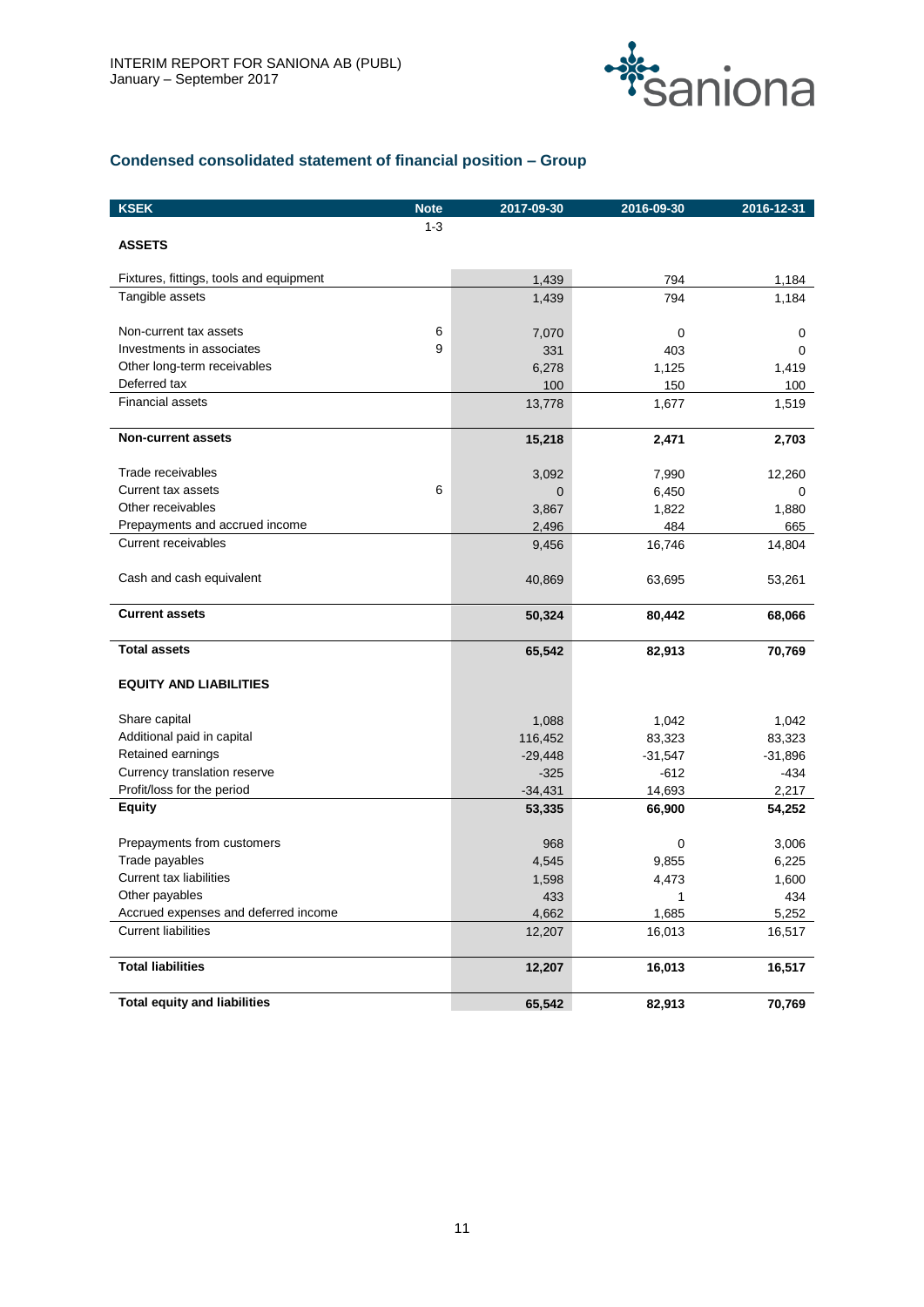

# **Condensed consolidated statement of financial position – Group**

| <b>KSEK</b>                             | <b>Note</b> | 2017-09-30  | 2016-09-30  | 2016-12-31 |
|-----------------------------------------|-------------|-------------|-------------|------------|
|                                         | $1 - 3$     |             |             |            |
| <b>ASSETS</b>                           |             |             |             |            |
| Fixtures, fittings, tools and equipment |             | 1,439       | 794         | 1,184      |
| Tangible assets                         |             | 1,439       | 794         | 1,184      |
|                                         |             |             |             |            |
| Non-current tax assets                  | 6           | 7,070       | 0           | 0          |
| Investments in associates               | 9           | 331         | 403         | 0          |
| Other long-term receivables             |             | 6,278       | 1,125       | 1,419      |
| Deferred tax                            |             | 100         | 150         | 100        |
| <b>Financial assets</b>                 |             | 13,778      | 1,677       | 1,519      |
| <b>Non-current assets</b>               |             | 15,218      | 2,471       | 2,703      |
| Trade receivables                       |             | 3,092       | 7,990       | 12,260     |
| <b>Current tax assets</b>               | 6           | $\mathbf 0$ | 6,450       | 0          |
| Other receivables                       |             | 3,867       | 1,822       | 1,880      |
| Prepayments and accrued income          |             | 2,496       | 484         | 665        |
| <b>Current receivables</b>              |             | 9,456       | 16,746      | 14,804     |
| Cash and cash equivalent                |             | 40,869      | 63,695      | 53,261     |
| <b>Current assets</b>                   |             | 50,324      | 80,442      | 68,066     |
| <b>Total assets</b>                     |             | 65,542      | 82,913      | 70,769     |
| <b>EQUITY AND LIABILITIES</b>           |             |             |             |            |
| Share capital                           |             | 1,088       | 1,042       | 1,042      |
| Additional paid in capital              |             | 116,452     | 83,323      | 83,323     |
| Retained earnings                       |             | $-29,448$   | $-31,547$   | $-31,896$  |
| Currency translation reserve            |             | $-325$      | $-612$      | -434       |
| Profit/loss for the period              |             | $-34,431$   | 14,693      | 2,217      |
| <b>Equity</b>                           |             | 53,335      | 66,900      | 54,252     |
| Prepayments from customers              |             | 968         | $\mathbf 0$ | 3,006      |
| Trade payables                          |             | 4,545       | 9,855       | 6,225      |
| <b>Current tax liabilities</b>          |             | 1,598       | 4,473       | 1,600      |
| Other payables                          |             | 433         | 1           | 434        |
| Accrued expenses and deferred income    |             | 4,662       | 1,685       | 5,252      |
| <b>Current liabilities</b>              |             | 12,207      | 16,013      | 16,517     |
| <b>Total liabilities</b>                |             | 12,207      | 16,013      | 16,517     |
| <b>Total equity and liabilities</b>     |             | 65,542      | 82,913      | 70,769     |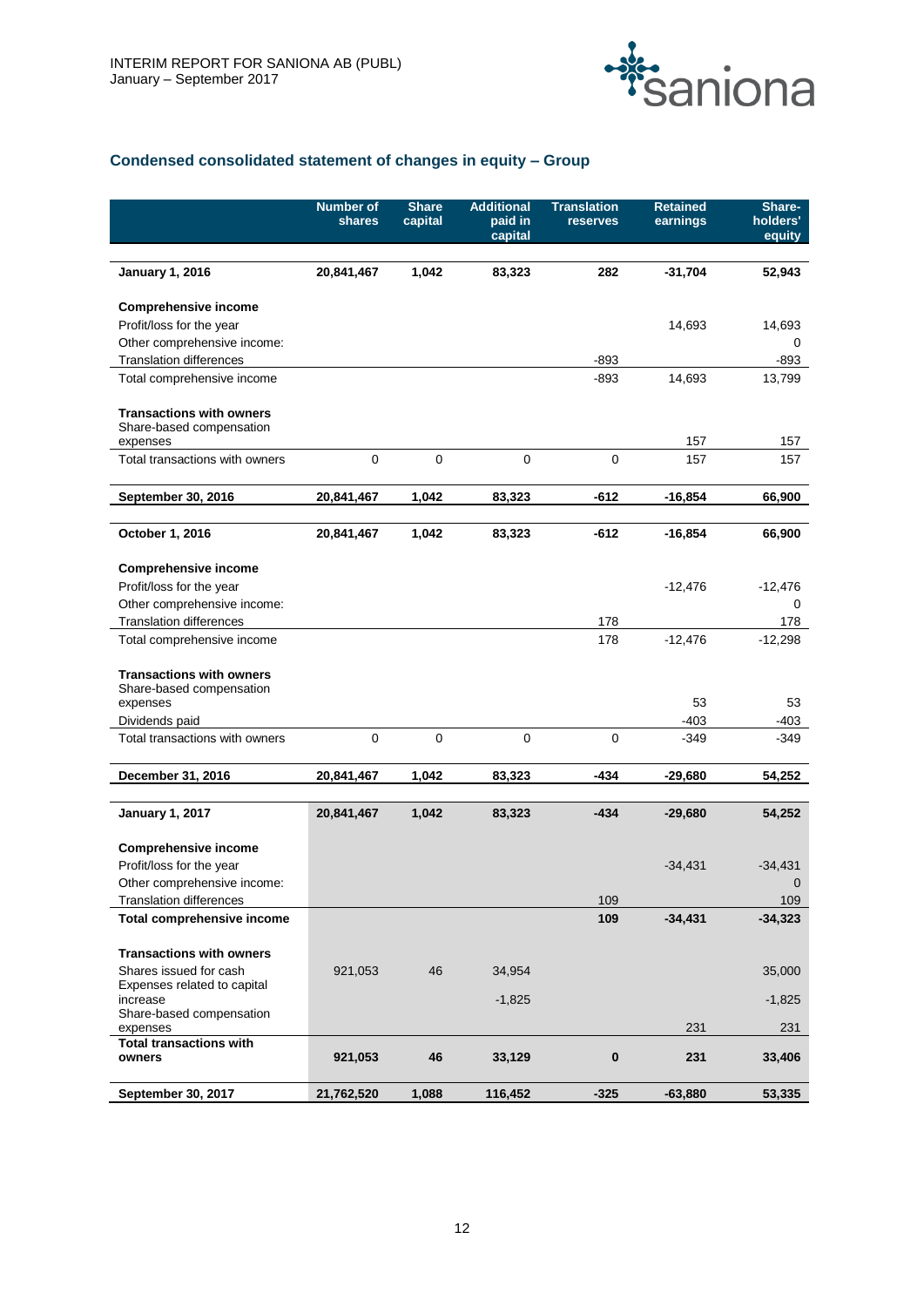

# **Condensed consolidated statement of changes in equity – Group**

|                                                                         | <b>Number of</b><br>shares | <b>Share</b><br>capital | <b>Additional</b><br>paid in<br>capital | <b>Translation</b><br>reserves | <b>Retained</b><br>earnings | Share-<br>holders'<br>equity |
|-------------------------------------------------------------------------|----------------------------|-------------------------|-----------------------------------------|--------------------------------|-----------------------------|------------------------------|
| <b>January 1, 2016</b>                                                  | 20,841,467                 | 1,042                   | 83,323                                  | 282                            | $-31,704$                   | 52,943                       |
| <b>Comprehensive income</b>                                             |                            |                         |                                         |                                |                             |                              |
| Profit/loss for the year                                                |                            |                         |                                         |                                | 14,693                      | 14,693                       |
| Other comprehensive income:                                             |                            |                         |                                         |                                |                             | 0                            |
| <b>Translation differences</b>                                          |                            |                         |                                         | $-893$                         |                             | -893                         |
| Total comprehensive income                                              |                            |                         |                                         | -893                           | 14,693                      | 13,799                       |
| <b>Transactions with owners</b><br>Share-based compensation<br>expenses |                            |                         |                                         |                                | 157                         | 157                          |
| Total transactions with owners                                          | $\mathbf 0$                | $\mathbf 0$             | $\pmb{0}$                               | $\mathbf 0$                    | 157                         | 157                          |
| September 30, 2016                                                      | 20,841,467                 | 1,042                   | 83,323                                  | $-612$                         | $-16,854$                   | 66,900                       |
| October 1, 2016                                                         | 20,841,467                 | 1.042                   | 83,323                                  | $-612$                         | $-16,854$                   | 66,900                       |
| <b>Comprehensive income</b>                                             |                            |                         |                                         |                                |                             |                              |
| Profit/loss for the year                                                |                            |                         |                                         |                                | $-12,476$                   | $-12,476$                    |
| Other comprehensive income:                                             |                            |                         |                                         |                                |                             | 0                            |
| <b>Translation differences</b>                                          |                            |                         |                                         | 178                            |                             | 178                          |
| Total comprehensive income                                              |                            |                         |                                         | 178                            | $-12,476$                   | $-12,298$                    |
| <b>Transactions with owners</b><br>Share-based compensation             |                            |                         |                                         |                                |                             |                              |
| expenses                                                                |                            |                         |                                         |                                | 53                          | 53                           |
| Dividends paid                                                          |                            |                         |                                         |                                | $-403$                      | $-403$                       |
| Total transactions with owners                                          | $\mathbf 0$                | $\pmb{0}$               | $\pmb{0}$                               | $\mathbf 0$                    | $-349$                      | -349                         |
| December 31, 2016                                                       | 20,841,467                 | 1,042                   | 83,323                                  | -434                           | $-29,680$                   | 54,252                       |
|                                                                         |                            |                         |                                         |                                |                             |                              |
| <b>January 1, 2017</b>                                                  | 20,841,467                 | 1,042                   | 83,323                                  | $-434$                         | $-29,680$                   | 54,252                       |
| <b>Comprehensive income</b>                                             |                            |                         |                                         |                                |                             |                              |
| Profit/loss for the year                                                |                            |                         |                                         |                                | $-34,431$                   | $-34,431$                    |
| Other comprehensive income:                                             |                            |                         |                                         |                                |                             | $\mathbf 0$                  |
| <b>Translation differences</b>                                          |                            |                         |                                         | 109                            |                             | 109                          |
| Total comprehensive income                                              |                            |                         |                                         | 109                            | $-34,431$                   | $-34,323$                    |
| <b>Transactions with owners</b>                                         |                            |                         |                                         |                                |                             |                              |
| Shares issued for cash<br>Expenses related to capital                   | 921,053                    | 46                      | 34,954                                  |                                |                             | 35,000                       |
| increase                                                                |                            |                         | $-1,825$                                |                                |                             | $-1,825$                     |
| Share-based compensation<br>expenses                                    |                            |                         |                                         |                                | 231                         | 231                          |
| <b>Total transactions with</b>                                          |                            |                         |                                         |                                |                             |                              |
| owners                                                                  | 921,053                    | 46                      | 33,129                                  | 0                              | 231                         | 33,406                       |
| September 30, 2017                                                      | 21,762,520                 | 1,088                   | 116,452                                 | $-325$                         | $-63,880$                   | 53,335                       |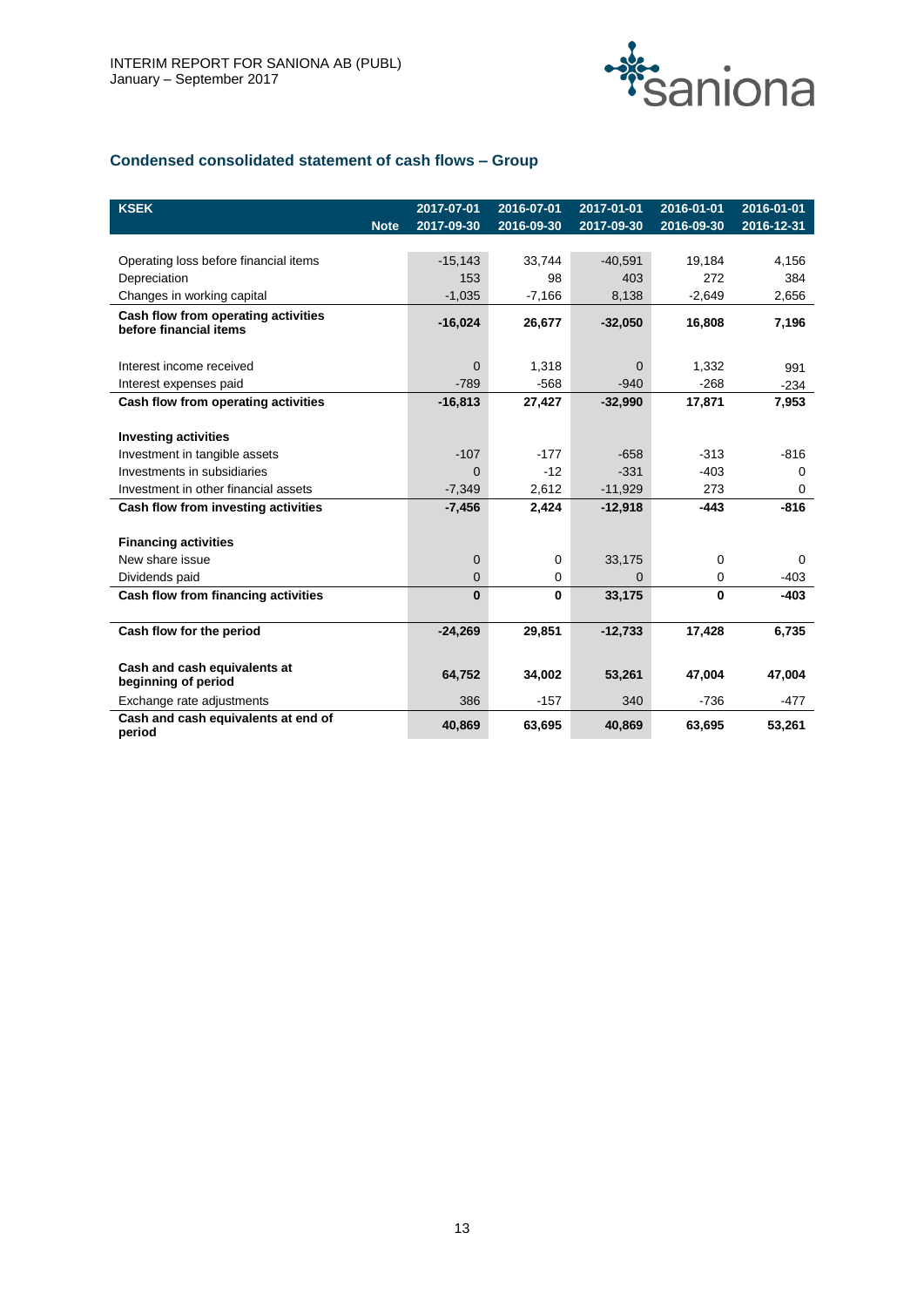

# **Condensed consolidated statement of cash flows – Group**

| <b>KSEK</b><br><b>Note</b>                                    | 2017-07-01<br>2017-09-30 | 2016-07-01<br>2016-09-30 | 2017-01-01<br>2017-09-30 | 2016-01-01<br>2016-09-30 | 2016-01-01<br>2016-12-31 |
|---------------------------------------------------------------|--------------------------|--------------------------|--------------------------|--------------------------|--------------------------|
|                                                               |                          |                          |                          |                          |                          |
| Operating loss before financial items                         | $-15,143$                | 33,744                   | $-40,591$                | 19,184                   | 4,156                    |
| Depreciation                                                  | 153                      | 98                       | 403                      | 272                      | 384                      |
| Changes in working capital                                    | $-1,035$                 | $-7,166$                 | 8,138                    | $-2,649$                 | 2,656                    |
| Cash flow from operating activities<br>before financial items | $-16,024$                | 26,677                   | $-32,050$                | 16,808                   | 7,196                    |
| Interest income received                                      | $\Omega$                 | 1,318                    | $\Omega$                 | 1,332                    | 991                      |
| Interest expenses paid                                        | $-789$                   | $-568$                   | $-940$                   | $-268$                   | $-234$                   |
| Cash flow from operating activities                           | $-16,813$                | 27,427                   | $-32,990$                | 17,871                   | 7,953                    |
|                                                               |                          |                          |                          |                          |                          |
| <b>Investing activities</b>                                   |                          |                          |                          |                          |                          |
| Investment in tangible assets                                 | $-107$                   | $-177$                   | $-658$                   | $-313$                   | $-816$                   |
| Investments in subsidiaries                                   | $\Omega$                 | $-12$                    | $-331$                   | $-403$                   | 0                        |
| Investment in other financial assets                          | $-7,349$                 | 2,612                    | $-11,929$                | 273                      | 0                        |
| Cash flow from investing activities                           | $-7,456$                 | 2,424                    | $-12,918$                | $-443$                   | $-816$                   |
|                                                               |                          |                          |                          |                          |                          |
| <b>Financing activities</b>                                   |                          |                          |                          |                          |                          |
| New share issue                                               | $\overline{0}$           | 0                        | 33,175                   | $\Omega$                 | 0                        |
| Dividends paid                                                | 0                        | 0                        | $\Omega$                 | 0                        | $-403$                   |
| Cash flow from financing activities                           | $\bf{0}$                 | $\bf{0}$                 | 33,175                   | $\bf{0}$                 | $-403$                   |
|                                                               |                          |                          |                          |                          |                          |
| Cash flow for the period                                      | $-24,269$                | 29,851                   | $-12,733$                | 17,428                   | 6,735                    |
| Cash and cash equivalents at<br>beginning of period           | 64,752                   | 34,002                   | 53,261                   | 47,004                   | 47,004                   |
| Exchange rate adjustments                                     | 386                      | $-157$                   | 340                      | $-736$                   | $-477$                   |
| Cash and cash equivalents at end of<br>period                 | 40,869                   | 63,695                   | 40,869                   | 63,695                   | 53,261                   |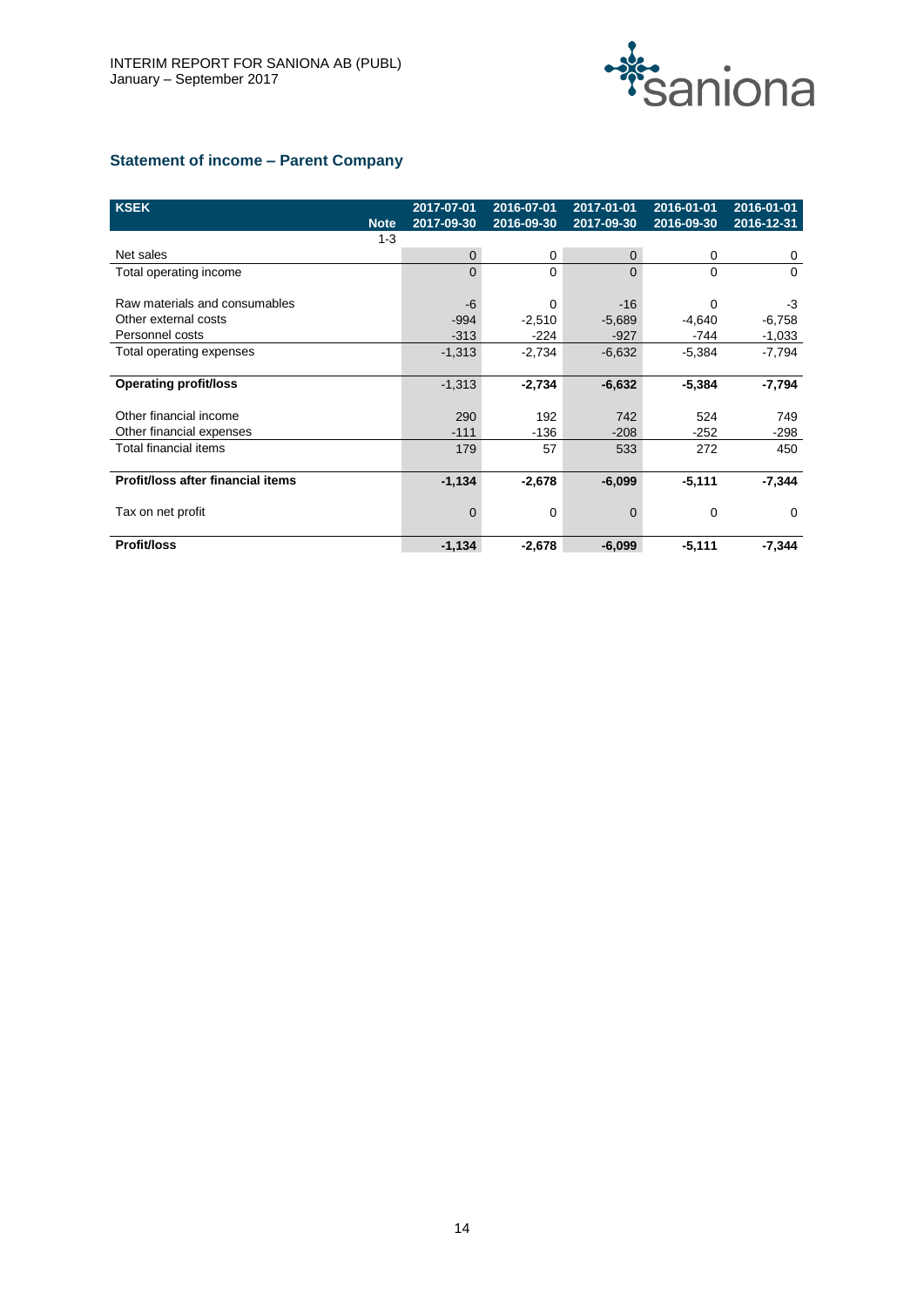

# **Statement of income – Parent Company**

| <b>KSEK</b>                       | 2017-07-01 | 2016-07-01 | 2017-01-01   | 2016-01-01 | 2016-01-01 |
|-----------------------------------|------------|------------|--------------|------------|------------|
| <b>Note</b>                       | 2017-09-30 | 2016-09-30 | 2017-09-30   | 2016-09-30 | 2016-12-31 |
| $1 - 3$                           |            |            |              |            |            |
| Net sales                         | 0          | 0          | $\mathbf{0}$ | 0          | 0          |
| Total operating income            | 0          | 0          | $\Omega$     | 0          | $\Omega$   |
|                                   |            |            |              |            |            |
| Raw materials and consumables     | -6         | 0          | $-16$        | 0          | -3         |
| Other external costs              | $-994$     | $-2,510$   | $-5,689$     | $-4,640$   | $-6,758$   |
| Personnel costs                   | $-313$     | $-224$     | $-927$       | -744       | $-1,033$   |
| Total operating expenses          | $-1,313$   | $-2,734$   | $-6,632$     | $-5,384$   | $-7,794$   |
|                                   |            |            |              |            |            |
| <b>Operating profit/loss</b>      | $-1,313$   | $-2,734$   | $-6,632$     | $-5,384$   | -7,794     |
|                                   |            |            |              |            |            |
| Other financial income            | 290        | 192        | 742          | 524        | 749        |
| Other financial expenses          | $-111$     | $-136$     | $-208$       | $-252$     | -298       |
| Total financial items             | 179        | 57         | 533          | 272        | 450        |
|                                   |            |            |              |            |            |
| Profit/loss after financial items | $-1,134$   | $-2,678$   | $-6,099$     | $-5,111$   | $-7,344$   |
|                                   |            |            |              |            |            |
| Tax on net profit                 | 0          | 0          | $\mathbf 0$  | 0          | $\Omega$   |
| Profit/loss                       | $-1,134$   | $-2,678$   | $-6,099$     | $-5,111$   | $-7,344$   |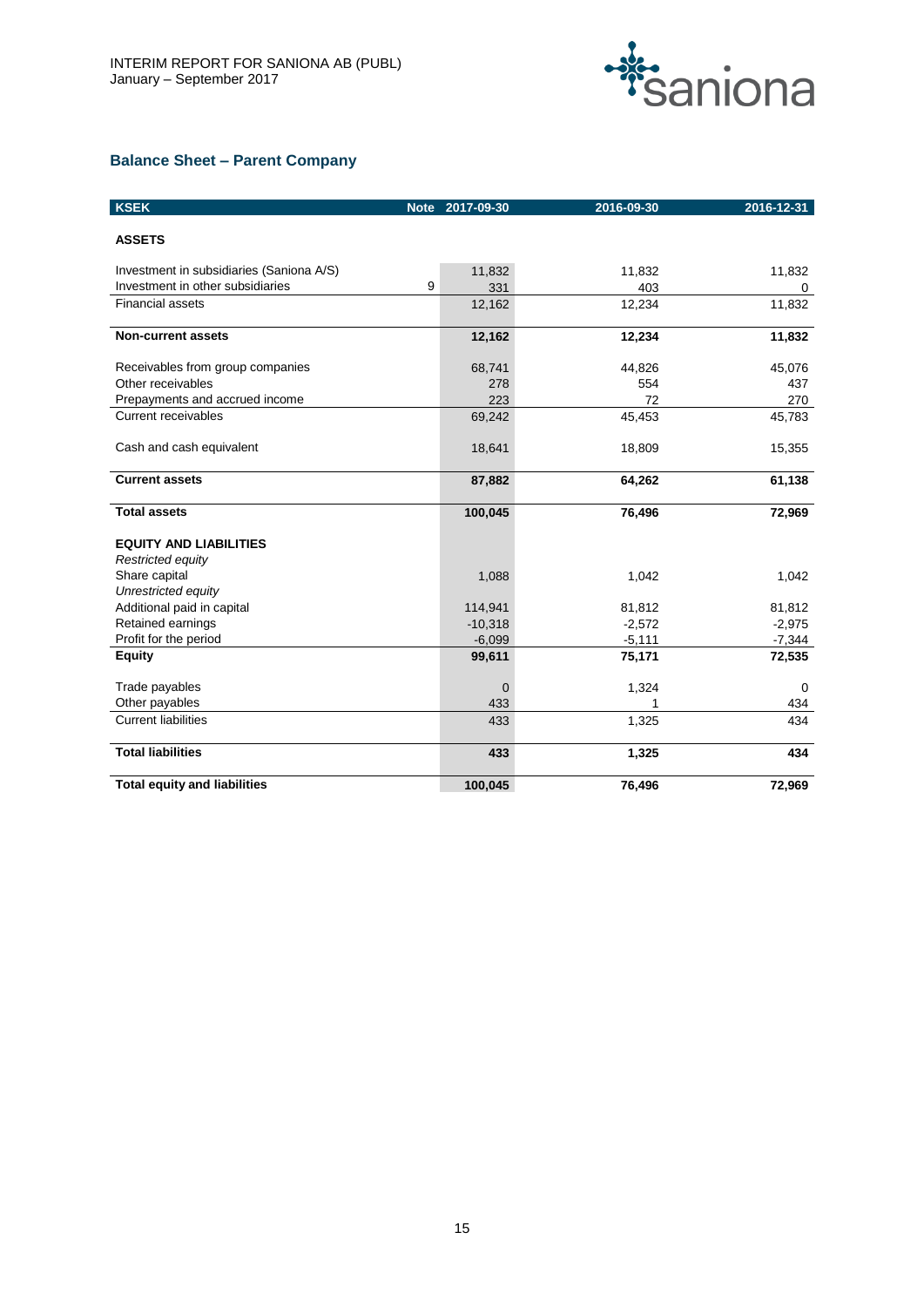

# **Balance Sheet – Parent Company**

| <b>KSEK</b>                              | <b>Note</b> | 2017-09-30     | 2016-09-30 | 2016-12-31 |
|------------------------------------------|-------------|----------------|------------|------------|
| <b>ASSETS</b>                            |             |                |            |            |
| Investment in subsidiaries (Saniona A/S) |             | 11,832         | 11,832     | 11,832     |
| Investment in other subsidiaries         | 9           | 331            | 403        | 0          |
| <b>Financial assets</b>                  |             | 12,162         | 12,234     | 11,832     |
| <b>Non-current assets</b>                |             | 12,162         | 12,234     | 11,832     |
| Receivables from group companies         |             | 68,741         | 44,826     | 45,076     |
| Other receivables                        |             | 278            | 554        | 437        |
| Prepayments and accrued income           |             | 223            | 72         | 270        |
| <b>Current receivables</b>               |             | 69,242         | 45,453     | 45,783     |
| Cash and cash equivalent                 |             | 18,641         | 18,809     | 15,355     |
| <b>Current assets</b>                    |             | 87,882         | 64,262     | 61,138     |
| <b>Total assets</b>                      |             | 100,045        | 76,496     | 72,969     |
| <b>EQUITY AND LIABILITIES</b>            |             |                |            |            |
| Restricted equity                        |             |                |            |            |
| Share capital                            |             | 1,088          | 1,042      | 1,042      |
| Unrestricted equity                      |             |                |            |            |
| Additional paid in capital               |             | 114,941        | 81,812     | 81,812     |
| Retained earnings                        |             | $-10,318$      | $-2,572$   | $-2,975$   |
| Profit for the period                    |             | $-6,099$       | $-5,111$   | $-7,344$   |
| <b>Equity</b>                            |             | 99,611         | 75,171     | 72,535     |
| Trade payables                           |             | $\overline{0}$ | 1,324      | $\Omega$   |
| Other payables                           |             | 433            |            | 434        |
| <b>Current liabilities</b>               |             | 433            | 1,325      | 434        |
| <b>Total liabilities</b>                 |             | 433            | 1,325      | 434        |
| <b>Total equity and liabilities</b>      |             | 100,045        | 76,496     | 72,969     |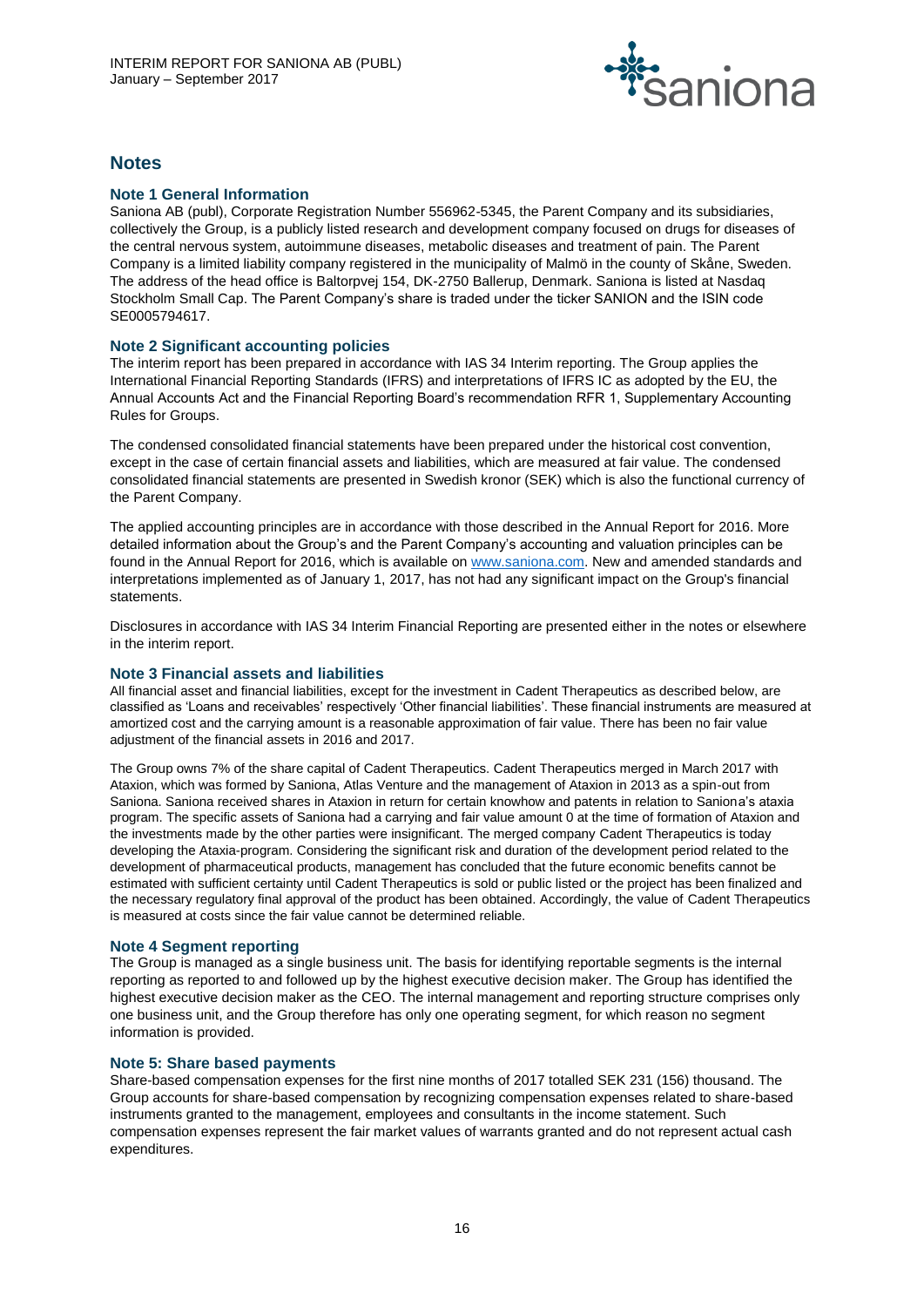

# **Notes**

# **Note 1 General Information**

Saniona AB (publ), Corporate Registration Number 556962-5345, the Parent Company and its subsidiaries, collectively the Group, is a publicly listed research and development company focused on drugs for diseases of the central nervous system, autoimmune diseases, metabolic diseases and treatment of pain. The Parent Company is a limited liability company registered in the municipality of Malmö in the county of Skåne, Sweden. The address of the head office is Baltorpvej 154, DK-2750 Ballerup, Denmark. Saniona is listed at Nasdaq Stockholm Small Cap. The Parent Company's share is traded under the ticker SANION and the ISIN code SE0005794617.

# **Note 2 Significant accounting policies**

The interim report has been prepared in accordance with IAS 34 Interim reporting. The Group applies the International Financial Reporting Standards (IFRS) and interpretations of IFRS IC as adopted by the EU, the Annual Accounts Act and the Financial Reporting Board's recommendation RFR 1, Supplementary Accounting Rules for Groups.

The condensed consolidated financial statements have been prepared under the historical cost convention, except in the case of certain financial assets and liabilities, which are measured at fair value. The condensed consolidated financial statements are presented in Swedish kronor (SEK) which is also the functional currency of the Parent Company.

The applied accounting principles are in accordance with those described in the Annual Report for 2016. More detailed information about the Group's and the Parent Company's accounting and valuation principles can be found in the Annual Report for 2016, which is available o[n www.saniona.com.](http://www.saniona.com/) New and amended standards and interpretations implemented as of January 1, 2017, has not had any significant impact on the Group's financial statements.

Disclosures in accordance with IAS 34 Interim Financial Reporting are presented either in the notes or elsewhere in the interim report.

# **Note 3 Financial assets and liabilities**

**All financial asset and financial liabilities, except for the investment in Cadent Therapeutics as described below, are classified as 'Loans and receivables' respectively 'Other financial liabilities'. These financial instruments are measured at amortized cost and the carrying amount is a reasonable approximation of fair value. There has been no fair value adjustment of the financial assets in 2016 and 2017.**

**The Group owns 7% of the share capital of Cadent Therapeutics. Cadent Therapeutics merged in March 2017 with Ataxion, which was formed by Saniona, Atlas Venture and the management of Ataxion in 2013 as a spin-out from Saniona. Saniona received shares in Ataxion in return for certain knowhow and patents in relation to Saniona's ataxia program. The specific assets of Saniona had a carrying and fair value amount 0 at the time of formation of Ataxion and the investments made by the other parties were insignificant. The merged company Cadent Therapeutics is today developing the Ataxia-program. Considering the significant risk and duration of the development period related to the development of pharmaceutical products, management has concluded that the future economic benefits cannot be estimated with sufficient certainty until Cadent Therapeutics is sold or public listed or the project has been finalized and the necessary regulatory final approval of the product has been obtained. Accordingly, the value of Cadent Therapeutics is measured at costs since the fair value cannot be determined reliable.**

# **Note 4 Segment reporting**

The Group is managed as a single business unit. The basis for identifying reportable segments is the internal reporting as reported to and followed up by the highest executive decision maker. The Group has identified the highest executive decision maker as the CEO. The internal management and reporting structure comprises only one business unit, and the Group therefore has only one operating segment, for which reason no segment information is provided.

# **Note 5: Share based payments**

Share-based compensation expenses for the first nine months of 2017 totalled SEK 231 (156) thousand. The Group accounts for share-based compensation by recognizing compensation expenses related to share-based instruments granted to the management, employees and consultants in the income statement. Such compensation expenses represent the fair market values of warrants granted and do not represent actual cash expenditures.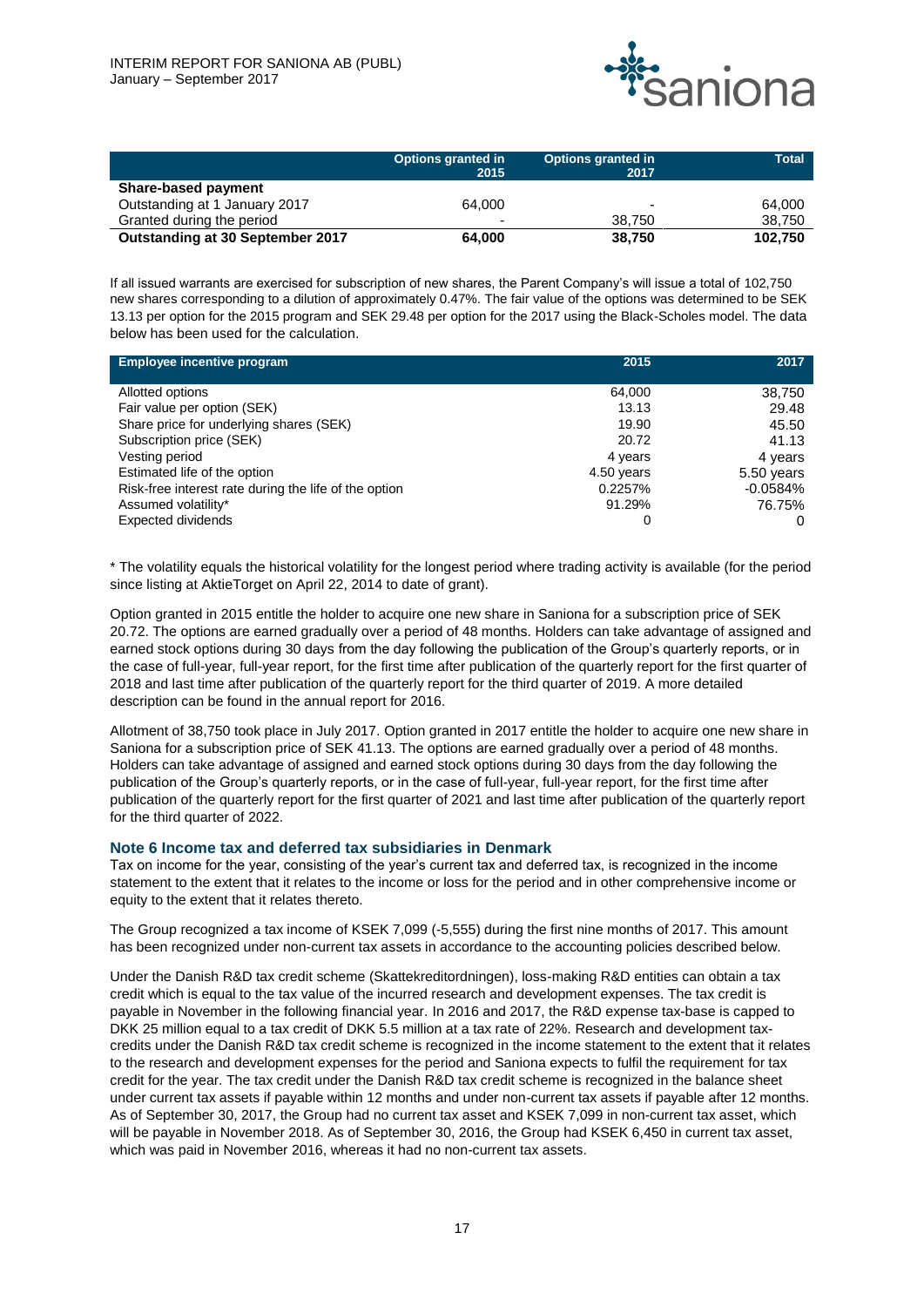

|                                  | <b>Options granted in</b><br>2015 | <b>Options granted in</b><br>2017 | <b>Total</b> |
|----------------------------------|-----------------------------------|-----------------------------------|--------------|
| Share-based payment              |                                   |                                   |              |
| Outstanding at 1 January 2017    | 64.000                            | $\overline{\phantom{0}}$          | 64.000       |
| Granted during the period        | -                                 | 38.750                            | 38.750       |
| Outstanding at 30 September 2017 | 64.000                            | 38.750                            | 102.750      |

**If all issued warrants are exercised for subscription of new shares, the Parent Company's will issue a total of 102,750 new shares corresponding to a dilution of approximately 0.47%. The fair value of the options was determined to be SEK 13.13 per option for the 2015 program and SEK 29.48 per option for the 2017 using the Black-Scholes model. T**he data below has been used for the calculation.

| <b>Employee incentive program</b>                     | 2015       | 2017       |
|-------------------------------------------------------|------------|------------|
|                                                       |            |            |
| <b>Allotted options</b>                               | 64,000     | 38,750     |
| Fair value per option (SEK)                           | 13.13      | 29.48      |
| Share price for underlying shares (SEK)               | 19.90      | 45.50      |
| <b>Subscription price (SEK)</b>                       | 20.72      | 41.13      |
| <b>Vesting period</b>                                 | 4 years    | 4 years    |
| Estimated life of the option                          | 4.50 years | 5.50 years |
| Risk-free interest rate during the life of the option | 0.2257%    | $-0.0584%$ |
| Assumed volatility*                                   | 91.29%     | 76.75%     |
| <b>Expected dividends</b>                             | 0          |            |

\* The volatility equals the historical volatility for the longest period where trading activity is available (for the period since listing at AktieTorget on April 22, 2014 to date of grant).

Option granted in 2015 entitle the holder to acquire one new share in Saniona for a subscription price of SEK 20.72. The options are earned gradually over a period of 48 months. Holders can take advantage of assigned and earned stock options during 30 days from the day following the publication of the Group's quarterly reports, or in the case of full-year, full-year report, for the first time after publication of the quarterly report for the first quarter of 2018 and last time after publication of the quarterly report for the third quarter of 2019. A more detailed description can be found in the annual report for 2016.

Allotment of 38,750 took place in July 2017. Option granted in 2017 entitle the holder to acquire one new share in Saniona for a subscription price of SEK 41.13. The options are earned gradually over a period of 48 months. Holders can take advantage of assigned and earned stock options during 30 days from the day following the publication of the Group's quarterly reports, or in the case of full-year, full-year report, for the first time after publication of the quarterly report for the first quarter of 2021 and last time after publication of the quarterly report for the third quarter of 2022.

#### **Note 6 Income tax and deferred tax subsidiaries in Denmark**

Tax on income for the year, consisting of the year's current tax and deferred tax, is recognized in the income statement to the extent that it relates to the income or loss for the period and in other comprehensive income or equity to the extent that it relates thereto.

The Group recognized a tax income of KSEK 7,099 (-5,555) during the first nine months of 2017. This amount has been recognized under non-current tax assets in accordance to the accounting policies described below.

Under the Danish R&D tax credit scheme (Skattekreditordningen), loss-making R&D entities can obtain a tax credit which is equal to the tax value of the incurred research and development expenses. The tax credit is payable in November in the following financial year. In 2016 and 2017, the R&D expense tax-base is capped to DKK 25 million equal to a tax credit of DKK 5.5 million at a tax rate of 22%. Research and development taxcredits under the Danish R&D tax credit scheme is recognized in the income statement to the extent that it relates to the research and development expenses for the period and Saniona expects to fulfil the requirement for tax credit for the year. The tax credit under the Danish R&D tax credit scheme is recognized in the balance sheet under current tax assets if payable within 12 months and under non-current tax assets if payable after 12 months. As of September 30, 2017, the Group had no current tax asset and KSEK 7,099 in non-current tax asset, which will be payable in November 2018. As of September 30, 2016, the Group had KSEK 6,450 in current tax asset, which was paid in November 2016, whereas it had no non-current tax assets.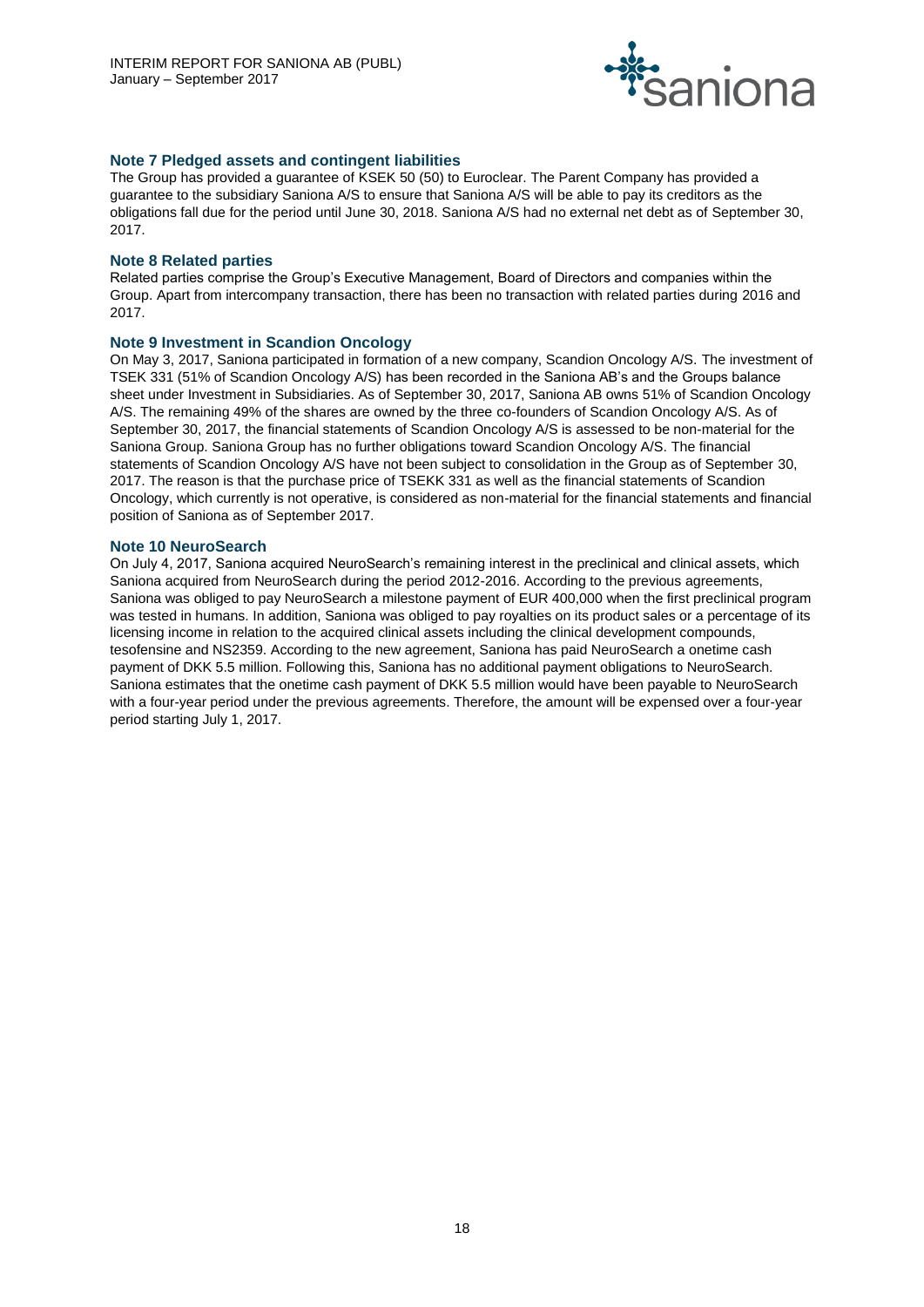

# **Note 7 Pledged assets and contingent liabilities**

The Group has provided a guarantee of KSEK 50 (50) to Euroclear. The Parent Company has provided a guarantee to the subsidiary Saniona A/S to ensure that Saniona A/S will be able to pay its creditors as the obligations fall due for the period until June 30, 2018. Saniona A/S had no external net debt as of September 30, 2017.

# **Note 8 Related parties**

Related parties comprise the Group's Executive Management, Board of Directors and companies within the Group. Apart from intercompany transaction, there has been no transaction with related parties during 2016 and 2017.

# **Note 9 Investment in Scandion Oncology**

On May 3, 2017, Saniona participated in formation of a new company, Scandion Oncology A/S. The investment of TSEK 331 (51% of Scandion Oncology A/S) has been recorded in the Saniona AB's and the Groups balance sheet under Investment in Subsidiaries. As of September 30, 2017, Saniona AB owns 51% of Scandion Oncology A/S. The remaining 49% of the shares are owned by the three co-founders of Scandion Oncology A/S. As of September 30, 2017, the financial statements of Scandion Oncology A/S is assessed to be non-material for the Saniona Group. Saniona Group has no further obligations toward Scandion Oncology A/S. The financial statements of Scandion Oncology A/S have not been subject to consolidation in the Group as of September 30, 2017. The reason is that the purchase price of TSEKK 331 as well as the financial statements of Scandion Oncology, which currently is not operative, is considered as non-material for the financial statements and financial position of Saniona as of September 2017.

#### **Note 10 NeuroSearch**

On July 4, 2017, Saniona acquired NeuroSearch's remaining interest in the preclinical and clinical assets, which Saniona acquired from NeuroSearch during the period 2012-2016. According to the previous agreements, Saniona was obliged to pay NeuroSearch a milestone payment of EUR 400,000 when the first preclinical program was tested in humans. In addition, Saniona was obliged to pay royalties on its product sales or a percentage of its licensing income in relation to the acquired clinical assets including the clinical development compounds, tesofensine and NS2359. According to the new agreement, Saniona has paid NeuroSearch a onetime cash payment of DKK 5.5 million. Following this, Saniona has no additional payment obligations to NeuroSearch. Saniona estimates that the onetime cash payment of DKK 5.5 million would have been payable to NeuroSearch with a four-year period under the previous agreements. Therefore, the amount will be expensed over a four-year period starting July 1, 2017.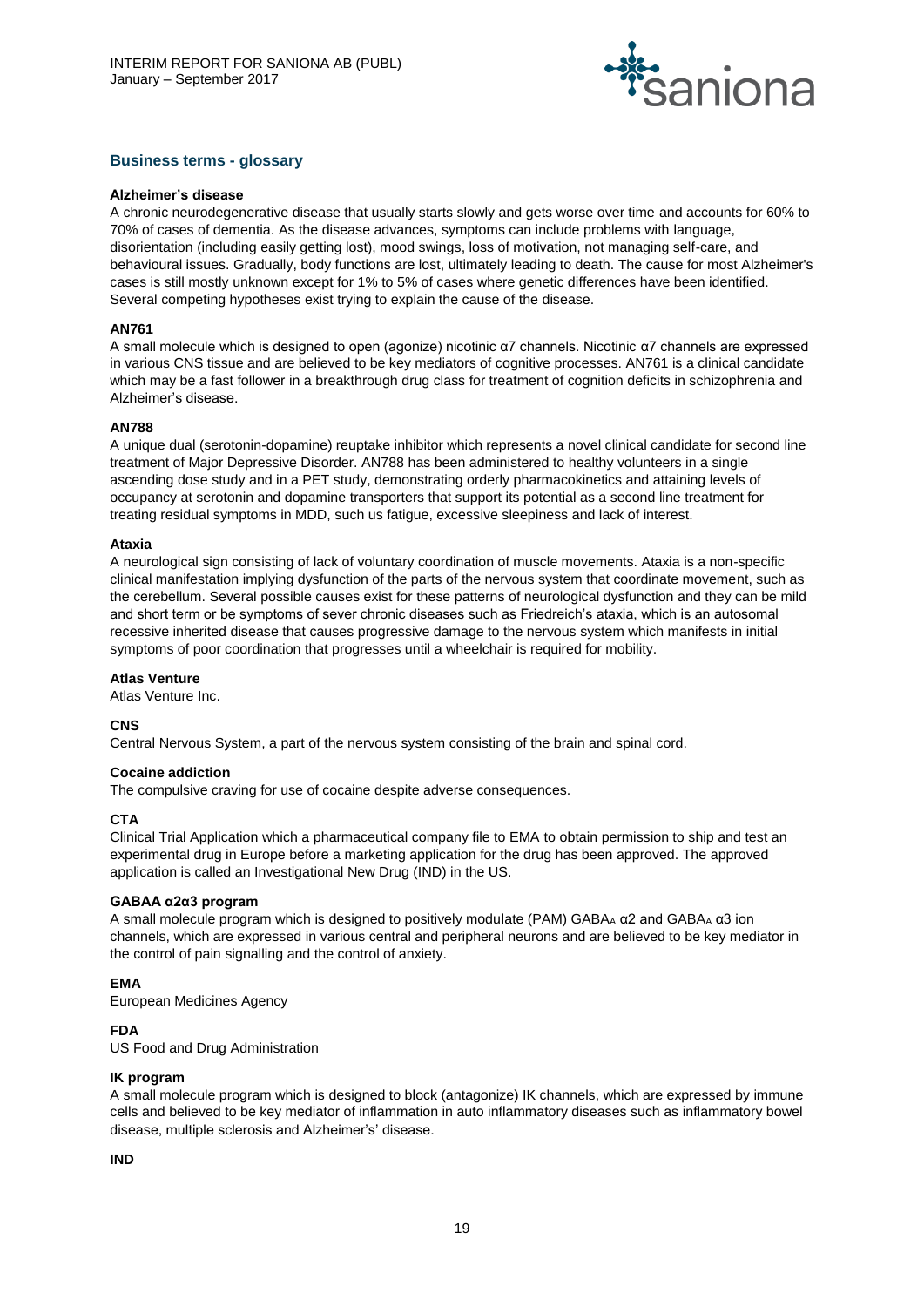

# **Business terms - glossary**

#### **Alzheimer's disease**

A chronic neurodegenerative disease that usually starts slowly and gets worse over time and accounts for 60% to 70% of cases of dementia. As the disease advances, symptoms can include problems with language, disorientation (including easily getting lost), mood swings, loss of motivation, not managing self-care, and behavioural issues. Gradually, body functions are lost, ultimately leading to death. The cause for most Alzheimer's cases is still mostly unknown except for 1% to 5% of cases where genetic differences have been identified. Several competing hypotheses exist trying to explain the cause of the disease.

# **AN761**

A small molecule which is designed to open (agonize) nicotinic α7 channels. Nicotinic α7 channels are expressed in various CNS tissue and are believed to be key mediators of cognitive processes. AN761 is a clinical candidate which may be a fast follower in a breakthrough drug class for treatment of cognition deficits in schizophrenia and Alzheimer's disease.

#### **AN788**

A unique dual (serotonin-dopamine) reuptake inhibitor which represents a novel clinical candidate for second line treatment of Major Depressive Disorder. AN788 has been administered to healthy volunteers in a single ascending dose study and in a PET study, demonstrating orderly pharmacokinetics and attaining levels of occupancy at serotonin and dopamine transporters that support its potential as a second line treatment for treating residual symptoms in MDD, such us fatigue, excessive sleepiness and lack of interest.

#### **Ataxia**

A neurological sign consisting of lack of voluntary coordination of muscle movements. Ataxia is a non-specific clinical manifestation implying dysfunction of the parts of the nervous system that coordinate movement, such as the cerebellum. Several possible causes exist for these patterns of neurological dysfunction and they can be mild and short term or be symptoms of sever chronic diseases such as Friedreich's ataxia, which is an autosomal recessive inherited disease that causes progressive damage to the nervous system which manifests in initial symptoms of poor coordination that progresses until a wheelchair is required for mobility.

#### **Atlas Venture**

Atlas Venture Inc.

# **CNS**

Central Nervous System, a part of the nervous system consisting of the brain and spinal cord.

#### **Cocaine addiction**

The compulsive craving for use of cocaine despite adverse consequences.

# **CTA**

Clinical Trial Application which a pharmaceutical company file to EMA to obtain permission to ship and test an experimental drug in Europe before a marketing application for the drug has been approved. The approved application is called an Investigational New Drug (IND) in the US.

# **GABAA α2α3 program**

A small molecule program which is designed to positively modulate (PAM) GABA<sub>A</sub>  $\alpha$ 2 and GABA<sub>A</sub>  $\alpha$ 3 ion channels, which are expressed in various central and peripheral neurons and are believed to be key mediator in the control of pain signalling and the control of anxiety.

# **EMA**

European Medicines Agency

# **FDA**

US Food and Drug Administration

# **IK program**

A small molecule program which is designed to block (antagonize) IK channels, which are expressed by immune cells and believed to be key mediator of inflammation in auto inflammatory diseases such as inflammatory bowel disease, multiple sclerosis and Alzheimer's' disease.

# **IND**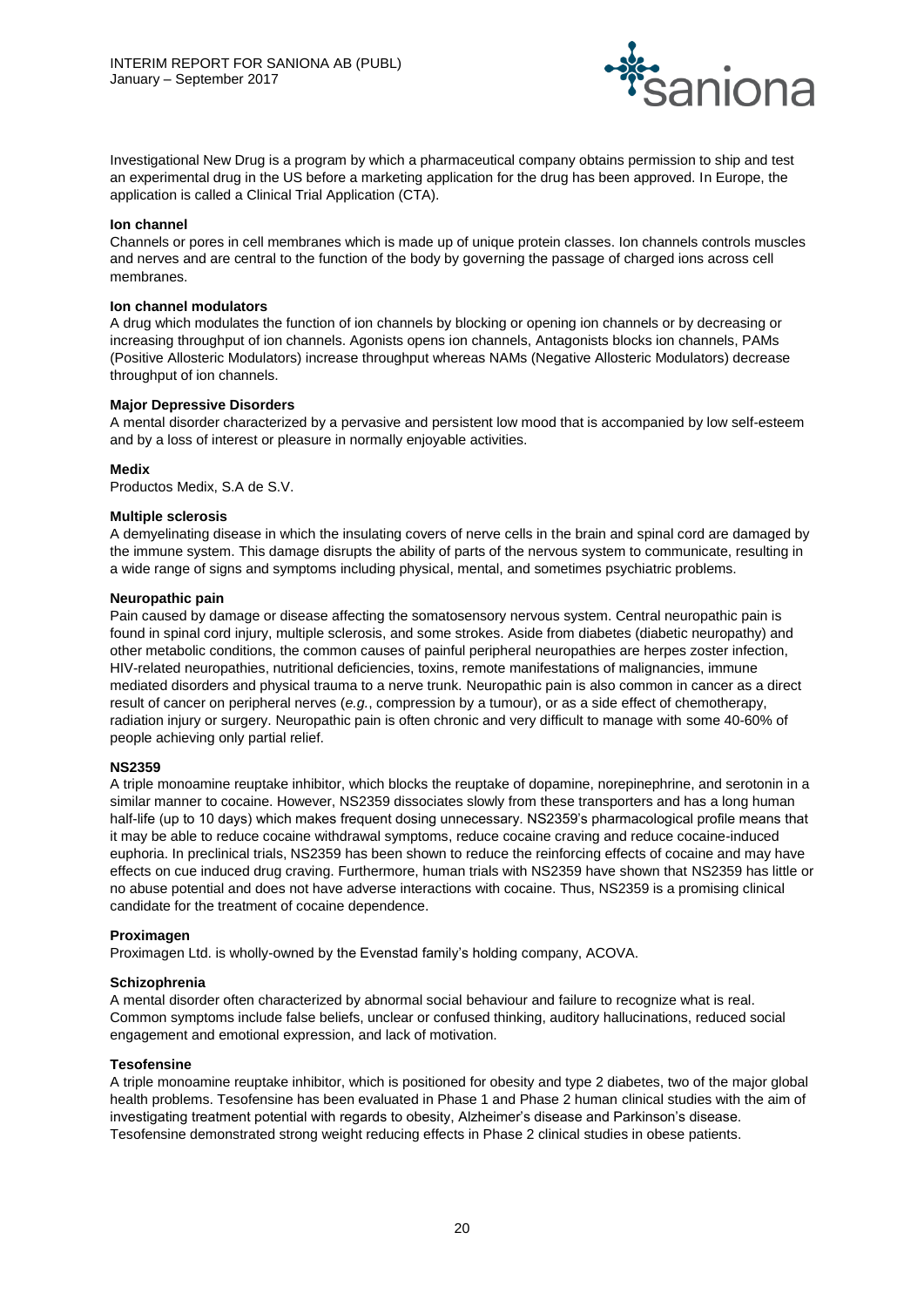

Investigational New Drug is a program by which a pharmaceutical company obtains permission to ship and test an experimental drug in the US before a marketing application for the drug has been approved. In Europe, the application is called a Clinical Trial Application (CTA).

### **Ion channel**

Channels or pores in cell membranes which is made up of unique protein classes. Ion channels controls muscles and nerves and are central to the function of the body by governing the passage of charged ions across cell membranes.

#### **Ion channel modulators**

A drug which modulates the function of ion channels by blocking or opening ion channels or by decreasing or increasing throughput of ion channels. Agonists opens ion channels, Antagonists blocks ion channels, PAMs (Positive Allosteric Modulators) increase throughput whereas NAMs (Negative Allosteric Modulators) decrease throughput of ion channels.

#### **Major Depressive Disorders**

A mental disorder characterized by a pervasive and persistent low mood that is accompanied by low self-esteem and by a loss of interest or pleasure in normally enjoyable activities.

#### **Medix**

Productos Medix, S.A de S.V.

#### **Multiple sclerosis**

A demyelinating disease in which the insulating covers of nerve cells in the brain and spinal cord are damaged by the immune system. This damage disrupts the ability of parts of the nervous system to communicate, resulting in a wide range of signs and symptoms including physical, mental, and sometimes psychiatric problems.

#### **Neuropathic pain**

Pain caused by damage or disease affecting the somatosensory nervous system. Central neuropathic pain is found in spinal cord injury, multiple sclerosis, and some strokes. Aside from diabetes (diabetic neuropathy) and other metabolic conditions, the common causes of painful peripheral neuropathies are herpes zoster infection, HIV-related neuropathies, nutritional deficiencies, toxins, remote manifestations of malignancies, immune mediated disorders and physical trauma to a nerve trunk. Neuropathic pain is also common in cancer as a direct result of cancer on peripheral nerves (*e.g.*, compression by a tumour), or as a side effect of chemotherapy, radiation injury or surgery. Neuropathic pain is often chronic and very difficult to manage with some 40-60% of people achieving only partial relief.

#### **NS2359**

A triple monoamine reuptake inhibitor, which blocks the reuptake of dopamine, norepinephrine, and serotonin in a similar manner to cocaine. However, NS2359 dissociates slowly from these transporters and has a long human half-life (up to 10 days) which makes frequent dosing unnecessary. NS2359's pharmacological profile means that it may be able to reduce cocaine withdrawal symptoms, reduce cocaine craving and reduce cocaine-induced euphoria. In preclinical trials, NS2359 has been shown to reduce the reinforcing effects of cocaine and may have effects on cue induced drug craving. Furthermore, human trials with NS2359 have shown that NS2359 has little or no abuse potential and does not have adverse interactions with cocaine. Thus, NS2359 is a promising clinical candidate for the treatment of cocaine dependence.

#### **Proximagen**

Proximagen Ltd. is wholly-owned by the Evenstad family's holding company, ACOVA.

# **Schizophrenia**

A mental disorder often characterized by abnormal social behaviour and failure to recognize what is real. Common symptoms include false beliefs, unclear or confused thinking, auditory hallucinations, reduced social engagement and emotional expression, and lack of motivation.

#### **Tesofensine**

A triple monoamine reuptake inhibitor, which is positioned for obesity and type 2 diabetes, two of the major global health problems. Tesofensine has been evaluated in Phase 1 and Phase 2 human clinical studies with the aim of investigating treatment potential with regards to obesity, Alzheimer's disease and Parkinson's disease. Tesofensine demonstrated strong weight reducing effects in Phase 2 clinical studies in obese patients.